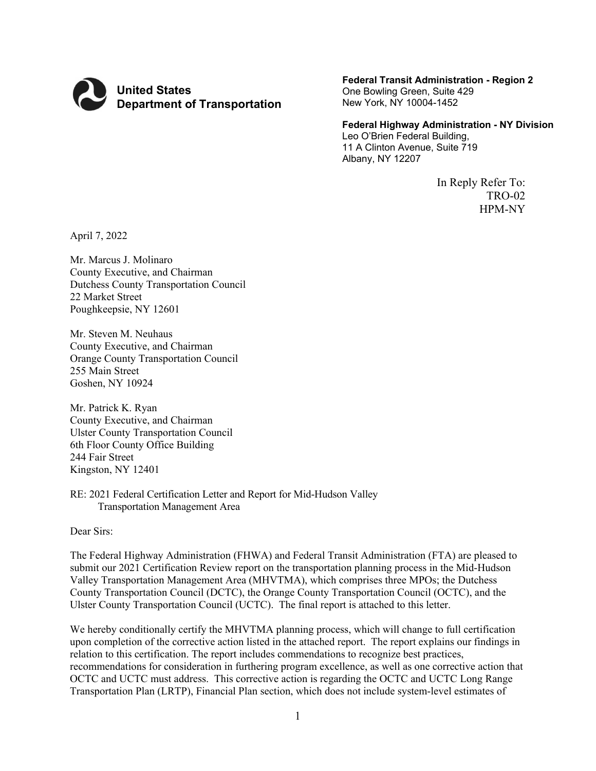

**Federal Transit Administration - Region 2** One Bowling Green, Suite 429 New York, NY 10004-1452

#### **Federal Highway Administration - NY Division** Leo O'Brien Federal Building,

11 A Clinton Avenue, Suite 719 Albany, NY 12207

> In Reply Refer To: TRO-02 HPM-NY

April 7, 2022

Mr. Marcus J. Molinaro County Executive, and Chairman Dutchess County Transportation Council 22 Market Street Poughkeepsie, NY 12601

Mr. Steven M. Neuhaus County Executive, and Chairman Orange County Transportation Council 255 Main Street Goshen, NY 10924

Mr. Patrick K. Ryan County Executive, and Chairman Ulster County Transportation Council 6th Floor County Office Building 244 Fair Street Kingston, NY 12401

RE: 2021 Federal Certification Letter and Report for Mid-Hudson Valley Transportation Management Area

Dear Sirs:

The Federal Highway Administration (FHWA) and Federal Transit Administration (FTA) are pleased to submit our 2021 Certification Review report on the transportation planning process in the Mid-Hudson Valley Transportation Management Area (MHVTMA), which comprises three MPOs; the Dutchess County Transportation Council (DCTC), the Orange County Transportation Council (OCTC), and the Ulster County Transportation Council (UCTC). The final report is attached to this letter.

We hereby conditionally certify the MHVTMA planning process, which will change to full certification upon completion of the corrective action listed in the attached report. The report explains our findings in relation to this certification. The report includes commendations to recognize best practices, recommendations for consideration in furthering program excellence, as well as one corrective action that OCTC and UCTC must address. This corrective action is regarding the OCTC and UCTC Long Range Transportation Plan (LRTP), Financial Plan section, which does not include system-level estimates of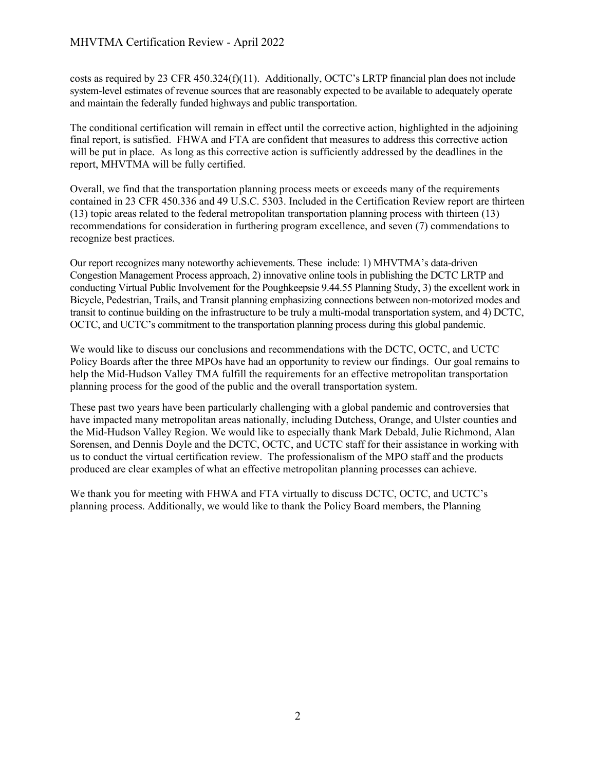costs as required by 23 CFR 450.324(f)(11). Additionally, OCTC's LRTP financial plan does not include system-level estimates of revenue sources that are reasonably expected to be available to adequately operate and maintain the federally funded highways and public transportation.

The conditional certification will remain in effect until the corrective action, highlighted in the adjoining final report, is satisfied. FHWA and FTA are confident that measures to address this corrective action will be put in place. As long as this corrective action is sufficiently addressed by the deadlines in the report, MHVTMA will be fully certified.

Overall, we find that the transportation planning process meets or exceeds many of the requirements contained in 23 CFR 450.336 and 49 U.S.C. 5303. Included in the Certification Review report are thirteen (13) topic areas related to the federal metropolitan transportation planning process with thirteen (13) recommendations for consideration in furthering program excellence, and seven (7) commendations to recognize best practices.

Our report recognizes many noteworthy achievements. These include: 1) MHVTMA's data-driven Congestion Management Process approach, 2) innovative online tools in publishing the DCTC LRTP and conducting Virtual Public Involvement for the Poughkeepsie 9.44.55 Planning Study, 3) the excellent work in Bicycle, Pedestrian, Trails, and Transit planning emphasizing connections between non-motorized modes and transit to continue building on the infrastructure to be truly a multi-modal transportation system, and 4) DCTC, OCTC, and UCTC's commitment to the transportation planning process during this global pandemic.

We would like to discuss our conclusions and recommendations with the DCTC, OCTC, and UCTC Policy Boards after the three MPOs have had an opportunity to review our findings. Our goal remains to help the Mid-Hudson Valley TMA fulfill the requirements for an effective metropolitan transportation planning process for the good of the public and the overall transportation system.

These past two years have been particularly challenging with a global pandemic and controversies that have impacted many metropolitan areas nationally, including Dutchess, Orange, and Ulster counties and the Mid-Hudson Valley Region. We would like to especially thank Mark Debald, Julie Richmond, Alan Sorensen, and Dennis Doyle and the DCTC, OCTC, and UCTC staff for their assistance in working with us to conduct the virtual certification review. The professionalism of the MPO staff and the products produced are clear examples of what an effective metropolitan planning processes can achieve.

We thank you for meeting with FHWA and FTA virtually to discuss DCTC, OCTC, and UCTC's planning process. Additionally, we would like to thank the Policy Board members, the Planning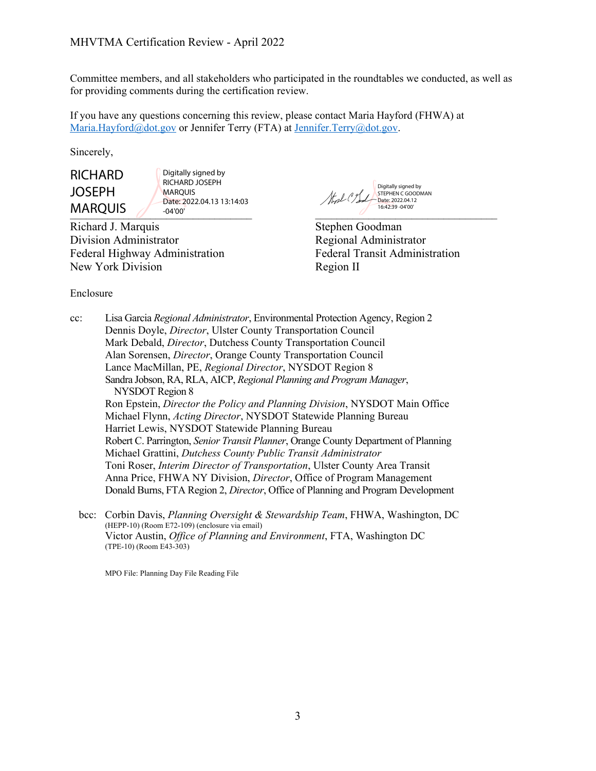Committee members, and all stakeholders who participated in the roundtables we conducted, as well as for providing comments during the certification review.

If you have any questions concerning this review, please contact Maria Hayford (FHWA) at [Maria.Hayford@dot.gov](mailto:Maria.Chau@dot.gov) or Jennifer Terry (FTA) at [Jennifer.Terry@dot.gov.](mailto:Jennifer.Terry@dot.gov)

Sincerely,

**RICHARD** JOSEPH MARQUIS

 $\blacksquare$ Digitally signed by RICHARD JOSEPH MARQUIS Date: 2022.04.13 13:14:03 -04'00'

Richard J. Marquis Stephen Goodman Division Administrator Regional Administrator Federal Highway Administration Federal Transit Administration New York Division Region II

Digitally signed by STEPHEN C GOODMAN Stal Cent Date: 2022.04.12 16:42:39 -04'00'

Enclosure

cc: Lisa Garcia *Regional Administrator*, Environmental Protection Agency, Region 2 Dennis Doyle, *Director*, Ulster County Transportation Council Mark Debald, *Director*, Dutchess County Transportation Council Alan Sorensen, *Director*, Orange County Transportation Council Lance MacMillan, PE, *Regional Director*, NYSDOT Region 8 Sandra Jobson, RA, RLA, AICP, *Regional Planning and Program Manager*, NYSDOT Region 8 Ron Epstein, *Director the Policy and Planning Division*, NYSDOT Main Office Michael Flynn, *Acting Director*, NYSDOT Statewide Planning Bureau Harriet Lewis, NYSDOT Statewide Planning Bureau Robert C. Parrington, *Senior Transit Planner*, Orange County Department of Planning Michael Grattini, *Dutchess County Public Transit Administrator* Toni Roser, *Interim Director of Transportation*, Ulster County Area Transit Anna Price, FHWA NY Division, *Director*, Office of Program Management Donald Burns, FTA Region 2, *Director*, Office of Planning and Program Development

bcc: Corbin Davis, *Planning Oversight & Stewardship Team*, FHWA, Washington, DC (HEPP-10) (Room E72-109) (enclosure via email) Victor Austin, *Office of Planning and Environment*, FTA, Washington DC (TPE-10) (Room E43-303)

MPO File: Planning Day File Reading File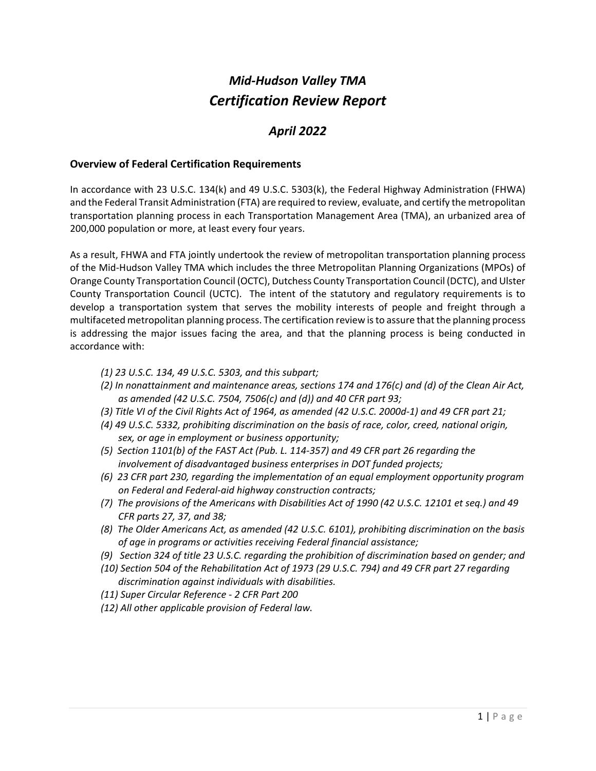# *Mid-Hudson Valley TMA Certification Review Report*

# *April 2022*

### **Overview of Federal Certification Requirements**

In accordance with 23 U.S.C. 134(k) and 49 U.S.C. 5303(k), the Federal Highway Administration (FHWA) and the Federal Transit Administration (FTA) are required to review, evaluate, and certify the metropolitan transportation planning process in each Transportation Management Area (TMA), an urbanized area of 200,000 population or more, at least every four years.

As a result, FHWA and FTA jointly undertook the review of metropolitan transportation planning process of the Mid-Hudson Valley TMA which includes the three Metropolitan Planning Organizations (MPOs) of Orange County Transportation Council (OCTC), Dutchess County Transportation Council (DCTC), and Ulster County Transportation Council (UCTC). The intent of the statutory and regulatory requirements is to develop a transportation system that serves the mobility interests of people and freight through a multifaceted metropolitan planning process. The certification review is to assure that the planning process is addressing the major issues facing the area, and that the planning process is being conducted in accordance with:

- *(1) 23 U.S.C. 134, 49 U.S.C. 5303, and this subpart;*
- *(2) In nonattainment and maintenance areas, sections 174 and 176(c) and (d) of the Clean Air Act, as amended (42 U.S.C. 7504, 7506(c) and (d)) and 40 CFR part 93;*
- *(3) Title VI of the Civil Rights Act of 1964, as amended (42 U.S.C. 2000d-1) and 49 CFR part 21;*
- *(4) 49 U.S.C. 5332, prohibiting discrimination on the basis of race, color, creed, national origin, sex, or age in employment or business opportunity;*
- *(5) Section 1101(b) of the FAST Act (Pub. L. 114-357) and 49 CFR part 26 regarding the involvement of disadvantaged business enterprises in DOT funded projects;*
- *(6) 23 CFR part 230, regarding the implementation of an equal employment opportunity program on Federal and Federal-aid highway construction contracts;*
- *(7) The provisions of the Americans with Disabilities Act of 1990 (42 U.S.C. 12101 et seq.) and 49 CFR parts 27, 37, and 38;*
- *(8) The Older Americans Act, as amended (42 U.S.C. 6101), prohibiting discrimination on the basis of age in programs or activities receiving Federal financial assistance;*
- *(9) Section 324 of title 23 U.S.C. regarding the prohibition of discrimination based on gender; and*
- *(10) Section 504 of the Rehabilitation Act of 1973 (29 U.S.C. 794) and 49 CFR part 27 regarding discrimination against individuals with disabilities.*
- *(11) Super Circular Reference - 2 CFR Part 200*
- *(12) All other applicable provision of Federal law*.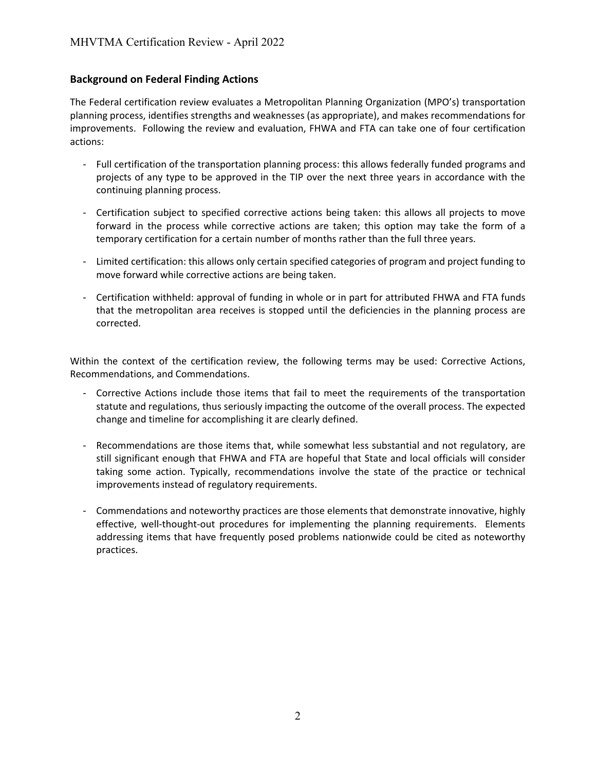# **Background on Federal Finding Actions**

The Federal certification review evaluates a Metropolitan Planning Organization (MPO's) transportation planning process, identifies strengths and weaknesses (as appropriate), and makes recommendations for improvements. Following the review and evaluation, FHWA and FTA can take one of four certification actions:

- Full certification of the transportation planning process: this allows federally funded programs and projects of any type to be approved in the TIP over the next three years in accordance with the continuing planning process.
- Certification subject to specified corrective actions being taken: this allows all projects to move forward in the process while corrective actions are taken; this option may take the form of a temporary certification for a certain number of months rather than the full three years.
- Limited certification: this allows only certain specified categories of program and project funding to move forward while corrective actions are being taken.
- Certification withheld: approval of funding in whole or in part for attributed FHWA and FTA funds that the metropolitan area receives is stopped until the deficiencies in the planning process are corrected.

Within the context of the certification review, the following terms may be used: Corrective Actions, Recommendations, and Commendations.

- Corrective Actions include those items that fail to meet the requirements of the transportation statute and regulations, thus seriously impacting the outcome of the overall process. The expected change and timeline for accomplishing it are clearly defined.
- Recommendations are those items that, while somewhat less substantial and not regulatory, are still significant enough that FHWA and FTA are hopeful that State and local officials will consider taking some action. Typically, recommendations involve the state of the practice or technical improvements instead of regulatory requirements.
- Commendations and noteworthy practices are those elements that demonstrate innovative, highly effective, well-thought-out procedures for implementing the planning requirements. Elements addressing items that have frequently posed problems nationwide could be cited as noteworthy practices.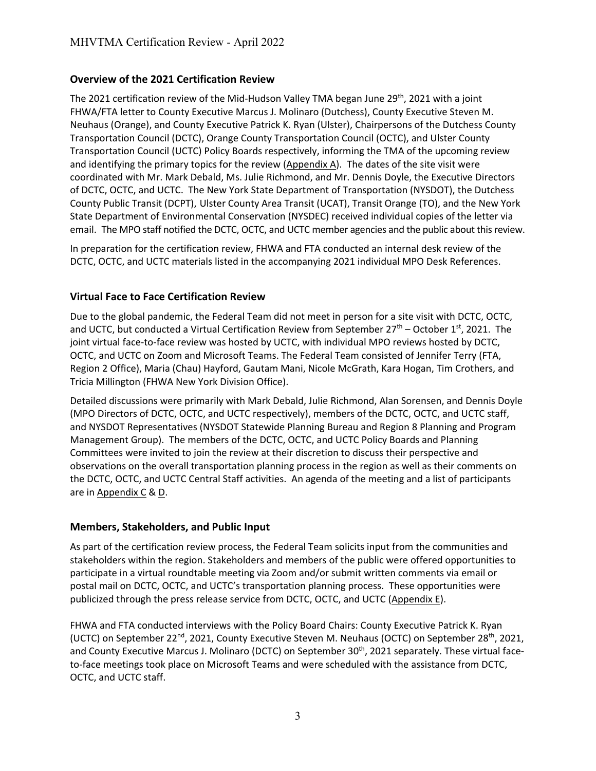# **Overview of the 2021 Certification Review**

The 2021 certification review of the Mid-Hudson Valley TMA began June  $29<sup>th</sup>$ , 2021 with a joint FHWA/FTA letter to County Executive Marcus J. Molinaro (Dutchess), County Executive Steven M. Neuhaus (Orange), and County Executive Patrick K. Ryan (Ulster), Chairpersons of the Dutchess County Transportation Council (DCTC), Orange County Transportation Council (OCTC), and Ulster County Transportation Council (UCTC) Policy Boards respectively, informing the TMA of the upcoming review and identifying the primary topics for the review (Appendix A). The dates of the site visit were coordinated with Mr. Mark Debald, Ms. Julie Richmond, and Mr. Dennis Doyle, the Executive Directors of DCTC, OCTC, and UCTC. The New York State Department of Transportation (NYSDOT), the Dutchess County Public Transit (DCPT), Ulster County Area Transit (UCAT), Transit Orange (TO), and the New York State Department of Environmental Conservation (NYSDEC) received individual copies of the letter via email. The MPO staff notified the DCTC, OCTC, and UCTC member agencies and the public about this review.

In preparation for the certification review, FHWA and FTA conducted an internal desk review of the DCTC, OCTC, and UCTC materials listed in the accompanying 2021 individual MPO Desk References.

# **Virtual Face to Face Certification Review**

Due to the global pandemic, the Federal Team did not meet in person for a site visit with DCTC, OCTC, and UCTC, but conducted a Virtual Certification Review from September  $27<sup>th</sup>$  – October  $1<sup>st</sup>$ , 2021. The joint virtual face-to-face review was hosted by UCTC, with individual MPO reviews hosted by DCTC, OCTC, and UCTC on Zoom and Microsoft Teams. The Federal Team consisted of Jennifer Terry (FTA, Region 2 Office), Maria (Chau) Hayford, Gautam Mani, Nicole McGrath, Kara Hogan, Tim Crothers, and Tricia Millington (FHWA New York Division Office).

Detailed discussions were primarily with Mark Debald, Julie Richmond, Alan Sorensen, and Dennis Doyle (MPO Directors of DCTC, OCTC, and UCTC respectively), members of the DCTC, OCTC, and UCTC staff, and NYSDOT Representatives (NYSDOT Statewide Planning Bureau and Region 8 Planning and Program Management Group). The members of the DCTC, OCTC, and UCTC Policy Boards and Planning Committees were invited to join the review at their discretion to discuss their perspective and observations on the overall transportation planning process in the region as well as their comments on the DCTC, OCTC, and UCTC Central Staff activities. An agenda of the meeting and a list of participants are in Appendix C & D.

# **Members, Stakeholders, and Public Input**

As part of the certification review process, the Federal Team solicits input from the communities and stakeholders within the region. Stakeholders and members of the public were offered opportunities to participate in a virtual roundtable meeting via Zoom and/or submit written comments via email or postal mail on DCTC, OCTC, and UCTC's transportation planning process. These opportunities were publicized through the press release service from DCTC, OCTC, and UCTC (Appendix E).

FHWA and FTA conducted interviews with the Policy Board Chairs: County Executive Patrick K. Ryan (UCTC) on September 22<sup>nd</sup>, 2021, County Executive Steven M. Neuhaus (OCTC) on September 28<sup>th</sup>, 2021, and County Executive Marcus J. Molinaro (DCTC) on September 30<sup>th</sup>, 2021 separately. These virtual faceto-face meetings took place on Microsoft Teams and were scheduled with the assistance from DCTC, OCTC, and UCTC staff.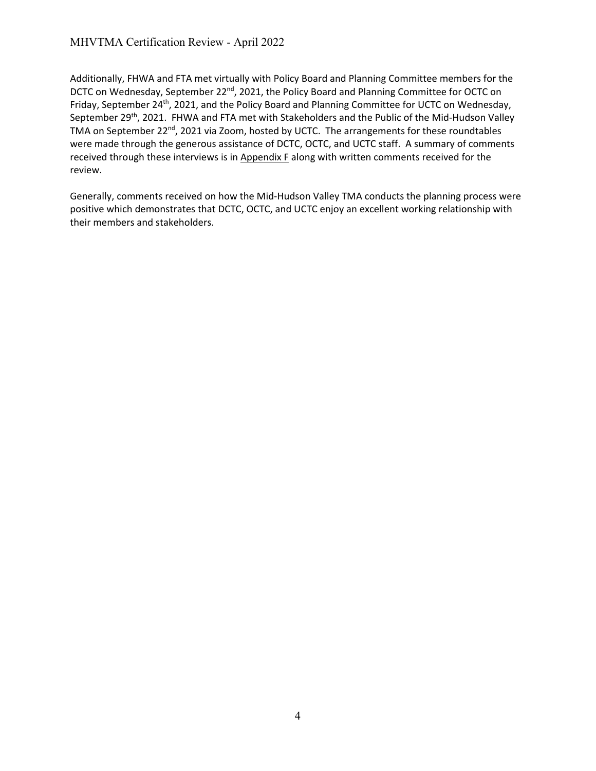Additionally, FHWA and FTA met virtually with Policy Board and Planning Committee members for the DCTC on Wednesday, September 22<sup>nd</sup>, 2021, the Policy Board and Planning Committee for OCTC on Friday, September 24<sup>th</sup>, 2021, and the Policy Board and Planning Committee for UCTC on Wednesday, September 29<sup>th</sup>, 2021. FHWA and FTA met with Stakeholders and the Public of the Mid-Hudson Valley TMA on September 22<sup>nd</sup>, 2021 via Zoom, hosted by UCTC. The arrangements for these roundtables were made through the generous assistance of DCTC, OCTC, and UCTC staff. A summary of comments received through these interviews is in Appendix F along with written comments received for the review.

Generally, comments received on how the Mid-Hudson Valley TMA conducts the planning process were positive which demonstrates that DCTC, OCTC, and UCTC enjoy an excellent working relationship with their members and stakeholders.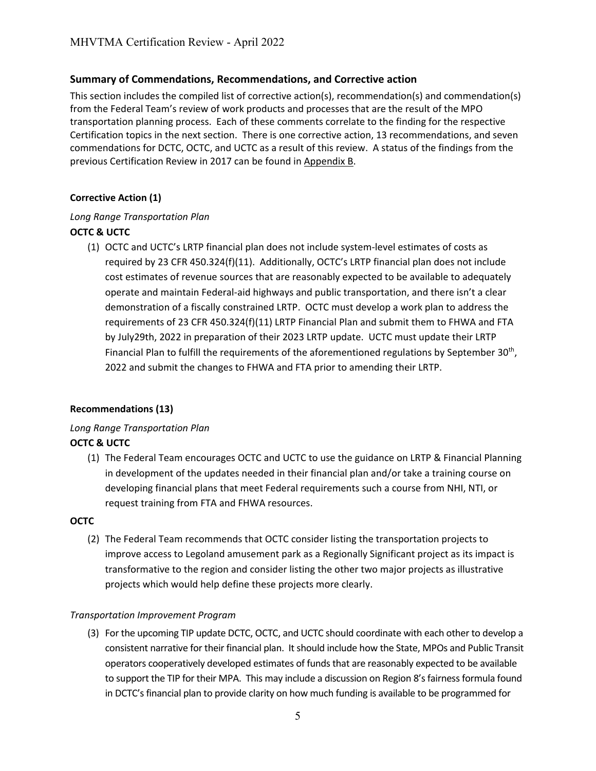# **Summary of Commendations, Recommendations, and Corrective action**

This section includes the compiled list of corrective action(s), recommendation(s) and commendation(s) from the Federal Team's review of work products and processes that are the result of the MPO transportation planning process. Each of these comments correlate to the finding for the respective Certification topics in the next section. There is one corrective action, 13 recommendations, and seven commendations for DCTC, OCTC, and UCTC as a result of this review. A status of the findings from the previous Certification Review in 2017 can be found in Appendix B.

#### **Corrective Action (1)**

#### *Long Range Transportation Plan*

# **OCTC & UCTC**

(1) OCTC and UCTC's LRTP financial plan does not include system-level estimates of costs as required by 23 CFR 450.324(f)(11). Additionally, OCTC's LRTP financial plan does not include cost estimates of revenue sources that are reasonably expected to be available to adequately operate and maintain Federal-aid highways and public transportation, and there isn't a clear demonstration of a fiscally constrained LRTP. OCTC must develop a work plan to address the requirements of 23 CFR 450.324(f)(11) LRTP Financial Plan and submit them to FHWA and FTA by July29th, 2022 in preparation of their 2023 LRTP update. UCTC must update their LRTP Financial Plan to fulfill the requirements of the aforementioned regulations by September  $30<sup>th</sup>$ , 2022 and submit the changes to FHWA and FTA prior to amending their LRTP.

#### **Recommendations (13)**

# *Long Range Transportation Plan* **OCTC & UCTC**

(1) The Federal Team encourages OCTC and UCTC to use the guidance on LRTP & Financial Planning in development of the updates needed in their financial plan and/or take a training course on developing financial plans that meet Federal requirements such a course from NHI, NTI, or request training from FTA and FHWA resources.

#### **OCTC**

(2) The Federal Team recommends that OCTC consider listing the transportation projects to improve access to Legoland amusement park as a Regionally Significant project as its impact is transformative to the region and consider listing the other two major projects as illustrative projects which would help define these projects more clearly.

#### *Transportation Improvement Program*

(3) For the upcoming TIP update DCTC, OCTC, and UCTC should coordinate with each other to develop a consistent narrative for their financial plan. It should include how the State, MPOs and Public Transit operators cooperatively developed estimates of funds that are reasonably expected to be available to support the TIP for their MPA. This may include a discussion on Region 8's fairness formula found in DCTC's financial plan to provide clarity on how much funding is available to be programmed for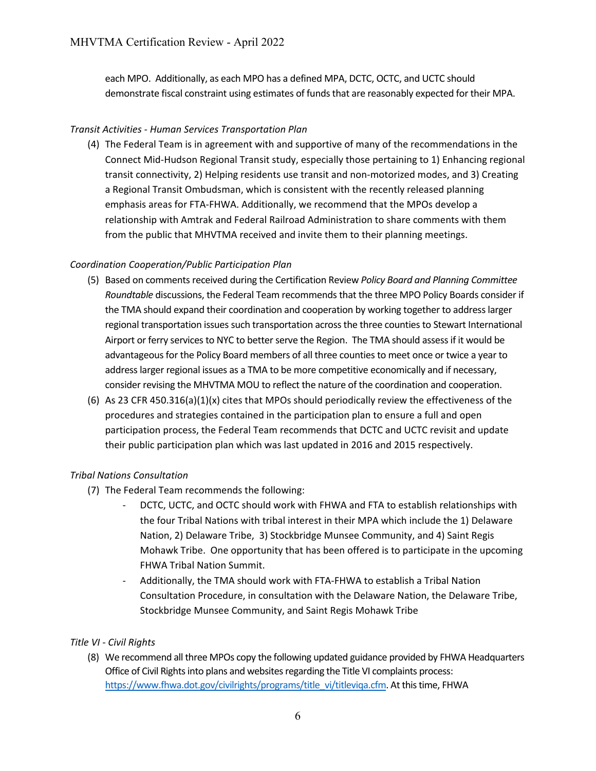each MPO. Additionally, as each MPO has a defined MPA, DCTC, OCTC, and UCTC should demonstrate fiscal constraint using estimates of funds that are reasonably expected for their MPA.

# *Transit Activities - Human Services Transportation Plan*

(4) The Federal Team is in agreement with and supportive of many of the recommendations in the Connect Mid-Hudson Regional Transit study, especially those pertaining to 1) Enhancing regional transit connectivity, 2) Helping residents use transit and non-motorized modes, and 3) Creating a Regional Transit Ombudsman, which is consistent with the recently released planning emphasis areas for FTA-FHWA. Additionally, we recommend that the MPOs develop a relationship with Amtrak and Federal Railroad Administration to share comments with them from the public that MHVTMA received and invite them to their planning meetings.

# *Coordination Cooperation/Public Participation Plan*

- (5) Based on comments received during the Certification Review *Policy Board and Planning Committee Roundtable* discussions, the Federal Team recommends that the three MPO Policy Boards consider if the TMA should expand their coordination and cooperation by working together to address larger regional transportation issues such transportation across the three counties to Stewart International Airport or ferry services to NYC to better serve the Region. The TMA should assess if it would be advantageous for the Policy Board members of all three counties to meet once or twice a year to address larger regional issues as a TMA to be more competitive economically and if necessary, consider revising the MHVTMA MOU to reflect the nature of the coordination and cooperation.
- (6) As 23 CFR 450.316(a)(1)(x) cites that MPOs should periodically review the effectiveness of the procedures and strategies contained in the participation plan to ensure a full and open participation process, the Federal Team recommends that DCTC and UCTC revisit and update their public participation plan which was last updated in 2016 and 2015 respectively.

# *Tribal Nations Consultation*

- (7) The Federal Team recommends the following:
	- DCTC, UCTC, and OCTC should work with FHWA and FTA to establish relationships with the four Tribal Nations with tribal interest in their MPA which include the 1) Delaware Nation, 2) Delaware Tribe, 3) Stockbridge Munsee Community, and 4) Saint Regis Mohawk Tribe. One opportunity that has been offered is to participate in the upcoming FHWA Tribal Nation Summit.
	- Additionally, the TMA should work with FTA-FHWA to establish a Tribal Nation Consultation Procedure, in consultation with the Delaware Nation, the Delaware Tribe, Stockbridge Munsee Community, and Saint Regis Mohawk Tribe

# *[Title VI - Civil Rights](#page-37-0)*

(8) We recommend all three MPOs copy the following updated guidance provided by FHWA Headquarters Office of Civil Rights into plans and websites regarding the Title VI complaints process: [https://www.fhwa.dot.gov/civilrights/programs/title\\_vi/titleviqa.cfm.](https://www.fhwa.dot.gov/civilrights/programs/title_vi/titleviqa.cfm) At this time, FHWA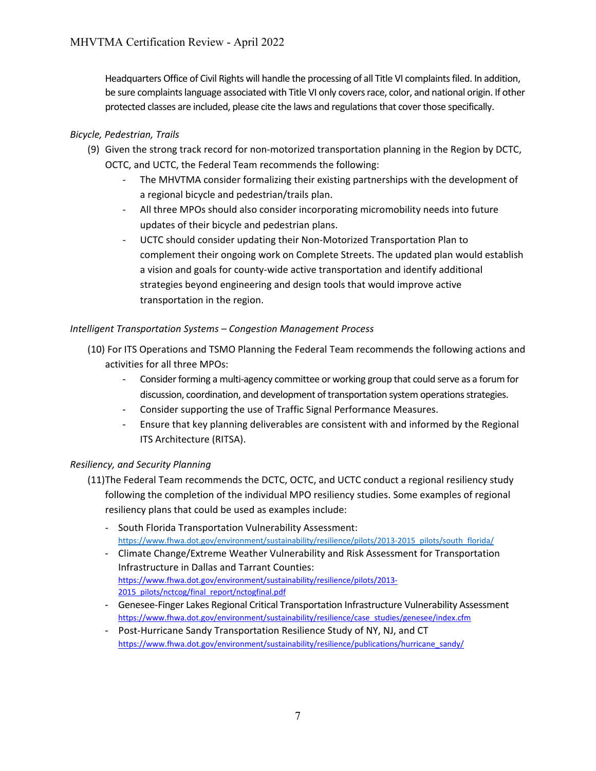Headquarters Office of Civil Rights will handle the processing of all Title VI complaints filed. In addition, be sure complaints language associated with Title VI only covers race, color, and national origin. If other protected classes are included, please cite the laws and regulations that cover those specifically.

# *[Bicycle,](#page-36-0) Pedestrian, Trails*

- (9) Given the strong track record for non-motorized transportation planning in the Region by DCTC, OCTC, and UCTC, the Federal Team recommends the following:
	- The MHVTMA consider formalizing their existing partnerships with the development of a regional bicycle and pedestrian/trails plan.
	- All three MPOs should also consider incorporating micromobility needs into future updates of their bicycle and pedestrian plans.
	- UCTC should consider updating their Non-Motorized Transportation Plan to complement their ongoing work on Complete Streets. The updated plan would establish a vision and goals for county-wide active transportation and identify additional strategies beyond engineering and design tools that would improve active transportation in the region.

# *Intelligent Transportation Systems – Congestion Management Process*

- (10) For ITS Operations and TSMO Planning the Federal Team recommends the following actions and activities for all three MPOs:
	- Consider forming a multi-agency committee or working group that could serve as a forum for discussion, coordination, and development of transportation system operations strategies.
	- Consider supporting the use of Traffic Signal Performance Measures.
	- Ensure that key planning deliverables are consistent with and informed by the Regional ITS Architecture (RITSA).

# *[Resiliency, and Security Planning](#page-39-0)*

- (11)The Federal Team recommends the DCTC, OCTC, and UCTC conduct a regional resiliency study following the completion of the individual MPO resiliency studies. Some examples of regional resiliency plans that could be used as examples include:
	- South Florida Transportation Vulnerability Assessment: https://www.fhwa.dot.gov/environment/sustainability/resilience/pilots/2013-2015\_pilots/south\_florida/
	- Climate Change/Extreme Weather Vulnerability and Risk Assessment for Transportation Infrastructure in Dallas and Tarrant Counties: [https://www.fhwa.dot.gov/environment/sustainability/resilience/pilots/2013-](https://www.fhwa.dot.gov/environment/sustainability/resilience/pilots/2013-2015_pilots/nctcog/final_report/nctogfinal.pdf) [2015\\_pilots/nctcog/final\\_report/nctogfinal.pdf](https://www.fhwa.dot.gov/environment/sustainability/resilience/pilots/2013-2015_pilots/nctcog/final_report/nctogfinal.pdf)
	- Genesee-Finger Lakes Regional Critical Transportation Infrastructure Vulnerability Assessment [https://www.fhwa.dot.gov/environment/sustainability/resilience/case\\_studies/genesee/index.cfm](https://www.fhwa.dot.gov/environment/sustainability/resilience/case_studies/genesee/index.cfm)
	- Post-Hurricane Sandy Transportation Resilience Study of NY, NJ, and CT [https://www.fhwa.dot.gov/environment/sustainability/resilience/publications/hurricane\\_sandy/](https://www.fhwa.dot.gov/environment/sustainability/resilience/publications/hurricane_sandy/)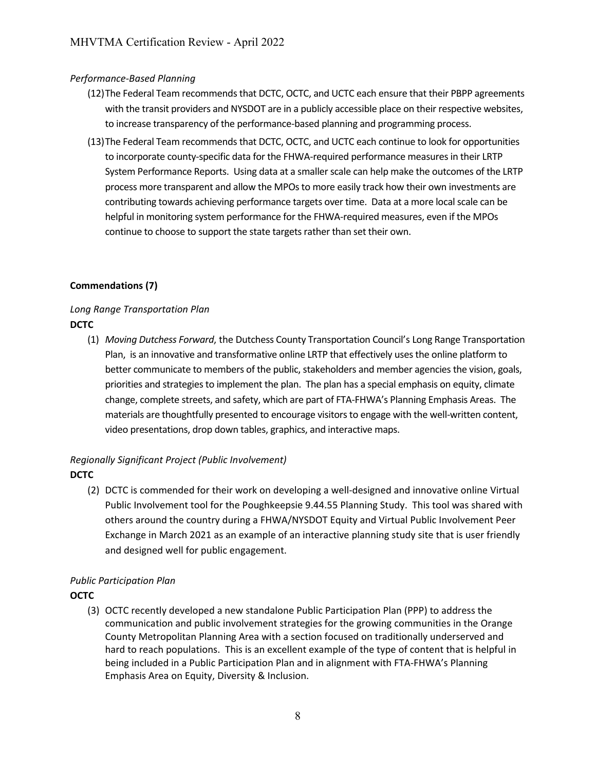### *Performance-Based Planning*

- (12)The Federal Team recommends that DCTC, OCTC, and UCTC each ensure that their PBPP agreements with the transit providers and NYSDOT are in a publicly accessible place on their respective websites, to increase transparency of the performance-based planning and programming process.
- (13)The Federal Team recommends that DCTC, OCTC, and UCTC each continue to look for opportunities to incorporate county-specific data for the FHWA-required performance measures in their LRTP System Performance Reports. Using data at a smaller scale can help make the outcomes of the LRTP process more transparent and allow the MPOs to more easily track how their own investments are contributing towards achieving performance targets over time. Data at a more local scale can be helpful in monitoring system performance for the FHWA-required measures, even if the MPOs continue to choose to support the state targets rather than set their own.

# **Commendations (7)**

# *Long Range Transportation Plan* **DCTC**

(1) *Moving Dutchess Forward*, the Dutchess County Transportation Council's Long Range Transportation Plan, is an innovative and transformative online LRTP that effectively uses the online platform to better communicate to members of the public, stakeholders and member agencies the vision, goals, priorities and strategies to implement the plan. The plan has a special emphasis on equity, climate change, complete streets, and safety, which are part of FTA-FHWA's Planning Emphasis Areas. The materials are thoughtfully presented to encourage visitors to engage with the well-written content, video presentations, drop down tables, graphics, and interactive maps.

# *Regionally Significant Project (Public Involvement)* **DCTC**

(2) DCTC is commended for their work on developing a well-designed and innovative online Virtual Public Involvement tool for the Poughkeepsie 9.44.55 Planning Study. This tool was shared with others around the country during a FHWA/NYSDOT Equity and Virtual Public Involvement Peer Exchange in March 2021 as an example of an interactive planning study site that is user friendly and designed well for public engagement.

# *Public Participation Plan*

# **OCTC**

(3) OCTC recently developed a new standalone Public Participation Plan (PPP) to address the communication and public involvement strategies for the growing communities in the Orange County Metropolitan Planning Area with a section focused on traditionally underserved and hard to reach populations. This is an excellent example of the type of content that is helpful in being included in a Public Participation Plan and in alignment with FTA-FHWA's Planning Emphasis Area on Equity, Diversity & Inclusion.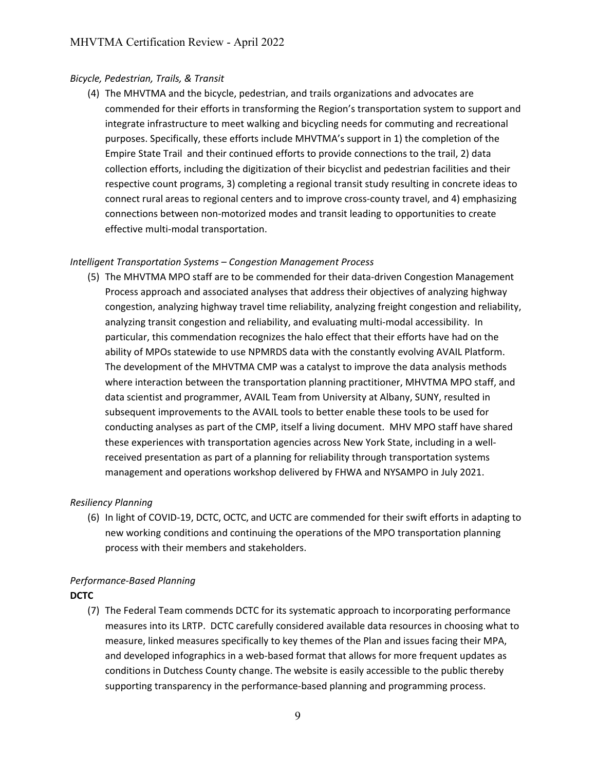#### *[Bicycle,](#page-36-0) Pedestrian, Trails, & Transit*

(4) The MHVTMA and the bicycle, pedestrian, and trails organizations and advocates are commended for their efforts in transforming the Region's transportation system to support and integrate infrastructure to meet walking and bicycling needs for commuting and recreational purposes. Specifically, these efforts include MHVTMA's support in 1) the completion of the Empire State Trail and their continued efforts to provide connections to the trail, 2) data collection efforts, including the digitization of their bicyclist and pedestrian facilities and their respective count programs, 3) completing a regional transit study resulting in concrete ideas to connect rural areas to regional centers and to improve cross-county travel, and 4) emphasizing connections between non-motorized modes and transit leading to opportunities to create effective multi-modal transportation.

#### *Intelligent Transportation Systems – Congestion Management Process*

(5) The MHVTMA MPO staff are to be commended for their data-driven Congestion Management Process approach and associated analyses that address their objectives of analyzing highway congestion, analyzing highway travel time reliability, analyzing freight congestion and reliability, analyzing transit congestion and reliability, and evaluating multi-modal accessibility. In particular, this commendation recognizes the halo effect that their efforts have had on the ability of MPOs statewide to use NPMRDS data with the constantly evolving AVAIL Platform. The development of the MHVTMA CMP was a catalyst to improve the data analysis methods where interaction between the transportation planning practitioner, MHVTMA MPO staff, and data scientist and programmer, AVAIL Team from University at Albany, SUNY, resulted in subsequent improvements to the AVAIL tools to better enable these tools to be used for conducting analyses as part of the CMP, itself a living document. MHV MPO staff have shared these experiences with transportation agencies across New York State, including in a wellreceived presentation as part of a planning for reliability through transportation systems management and operations workshop delivered by FHWA and NYSAMPO in July 2021.

#### *Resiliency Planning*

(6) In light of COVID-19, DCTC, OCTC, and UCTC are commended for their swift efforts in adapting to new working conditions and continuing the operations of the MPO transportation planning process with their members and stakeholders.

#### *Performance-Based Planning*

#### **DCTC**

(7) The Federal Team commends DCTC for its systematic approach to incorporating performance measures into its LRTP. DCTC carefully considered available data resources in choosing what to measure, linked measures specifically to key themes of the Plan and issues facing their MPA, and developed infographics in a web-based format that allows for more frequent updates as conditions in Dutchess County change. The website is easily accessible to the public thereby supporting transparency in the performance-based planning and programming process.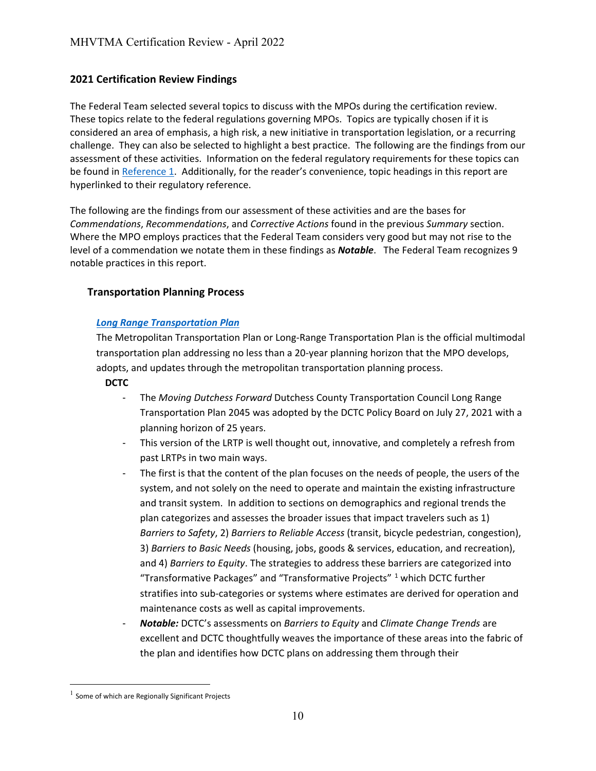# **2021 Certification Review Findings**

The Federal Team selected several topics to discuss with the MPOs during the certification review. These topics relate to the federal regulations governing MPOs. Topics are typically chosen if it is considered an area of emphasis, a high risk, a new initiative in transportation legislation, or a recurring challenge. They can also be selected to highlight a best practice. The following are the findings from our assessment of these activities. Information on the federal regulatory requirements for these topics can be found in [Reference 1.](#page-35-0) Additionally, for the reader's convenience, topic headings in this report are hyperlinked to their regulatory reference.

The following are the findings from our assessment of these activities and are the bases for *Commendations*, *Recommendations*, and *Corrective Actions* found in the previous *Summary* section. Where the MPO employs practices that the Federal Team considers very good but may not rise to the level of a commendation we notate them in these findings as *Notable*. The Federal Team recognizes 9 notable practices in this report.

#### **[Transportation Planning Process](#page-36-1)**

#### *[Long Range Transportation Plan](#page-35-0)*

The Metropolitan Transportation Plan or Long-Range Transportation Plan is the official multimodal transportation plan addressing no less than a 20-year planning horizon that the MPO develops, adopts, and updates through the metropolitan transportation planning process.

**DCTC**

- The *Moving Dutchess Forward* Dutchess County Transportation Council Long Range Transportation Plan 2045 was adopted by the DCTC Policy Board on July 27, 2021 with a planning horizon of 25 years.
- This version of the LRTP is well thought out, innovative, and completely a refresh from past LRTPs in two main ways.
- The first is that the content of the plan focuses on the needs of people, the users of the system, and not solely on the need to operate and maintain the existing infrastructure and transit system. In addition to sections on demographics and regional trends the plan categorizes and assesses the broader issues that impact travelers such as 1) *Barriers to Safety*, 2) *Barriers to Reliable Access* (transit, bicycle pedestrian, congestion), 3) *Barriers to Basic Needs* (housing, jobs, goods & services, education, and recreation), and 4) *Barriers to Equity*. The strategies to address these barriers are categorized into "Transformative Packages" and "Transformative Projects" [1](#page-12-0) which DCTC further stratifies into sub-categories or systems where estimates are derived for operation and maintenance costs as well as capital improvements.
- *Notable:* DCTC's assessments on *Barriers to Equity* and *Climate Change Trends* are excellent and DCTC thoughtfully weaves the importance of these areas into the fabric of the plan and identifies how DCTC plans on addressing them through their

<span id="page-12-0"></span> $1$  Some of which are Regionally Significant Projects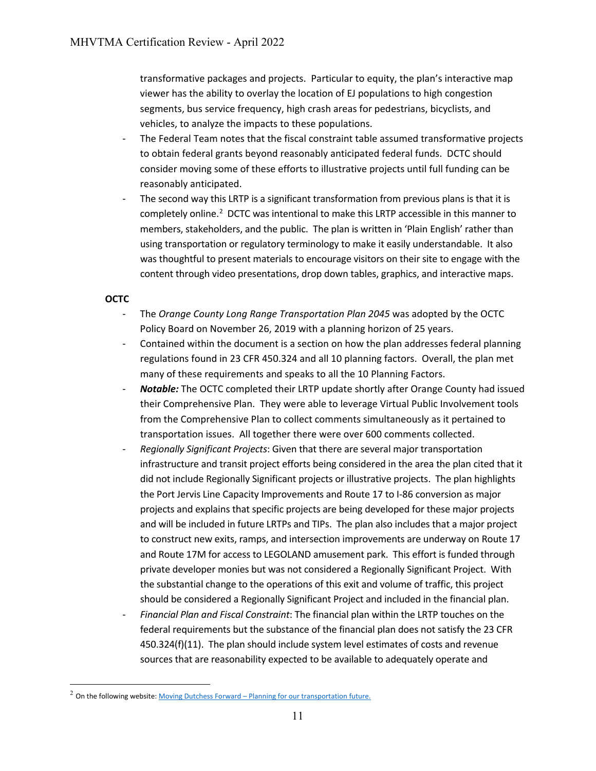transformative packages and projects. Particular to equity, the plan's interactive map viewer has the ability to overlay the location of EJ populations to high congestion segments, bus service frequency, high crash areas for pedestrians, bicyclists, and vehicles, to analyze the impacts to these populations.

- The Federal Team notes that the fiscal constraint table assumed transformative projects to obtain federal grants beyond reasonably anticipated federal funds. DCTC should consider moving some of these efforts to illustrative projects until full funding can be reasonably anticipated.
- The second way this LRTP is a significant transformation from previous plans is that it is completely online.<sup>[2](#page-13-0)</sup> DCTC was intentional to make this LRTP accessible in this manner to members, stakeholders, and the public. The plan is written in 'Plain English' rather than using transportation or regulatory terminology to make it easily understandable. It also was thoughtful to present materials to encourage visitors on their site to engage with the content through video presentations, drop down tables, graphics, and interactive maps.

# **OCTC**

- The *Orange County Long Range Transportation Plan 2045* was adopted by the OCTC Policy Board on November 26, 2019 with a planning horizon of 25 years.
- Contained within the document is a section on how the plan addresses federal planning regulations found in 23 CFR 450.324 and all 10 planning factors. Overall, the plan met many of these requirements and speaks to all the 10 Planning Factors.
- *Notable:* The OCTC completed their LRTP update shortly after Orange County had issued their Comprehensive Plan. They were able to leverage Virtual Public Involvement tools from the Comprehensive Plan to collect comments simultaneously as it pertained to transportation issues. All together there were over 600 comments collected.
- *Regionally Significant Projects*: Given that there are several major transportation infrastructure and transit project efforts being considered in the area the plan cited that it did not include Regionally Significant projects or illustrative projects. The plan highlights the Port Jervis Line Capacity Improvements and Route 17 to I-86 conversion as major projects and explains that specific projects are being developed for these major projects and will be included in future LRTPs and TIPs. The plan also includes that a major project to construct new exits, ramps, and intersection improvements are underway on Route 17 and Route 17M for access to LEGOLAND amusement park. This effort is funded through private developer monies but was not considered a Regionally Significant Project. With the substantial change to the operations of this exit and volume of traffic, this project should be considered a Regionally Significant Project and included in the financial plan.
- *Financial Plan and Fiscal Constraint*: The financial plan within the LRTP touches on the federal requirements but the substance of the financial plan does not satisfy the 23 CFR 450.324(f)(11). The plan should include system level estimates of costs and revenue sources that are reasonability expected to be available to adequately operate and

<span id="page-13-0"></span><sup>&</sup>lt;sup>2</sup> On the following website[: Moving Dutchess Forward – Planning for our transportation future.](https://movingdutchessforward.com/)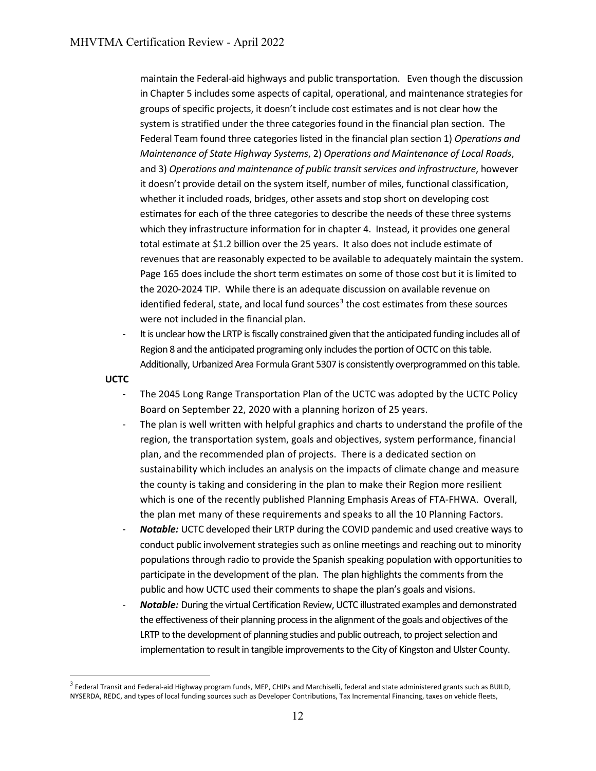maintain the Federal-aid highways and public transportation. Even though the discussion in Chapter 5 includes some aspects of capital, operational, and maintenance strategies for groups of specific projects, it doesn't include cost estimates and is not clear how the system is stratified under the three categories found in the financial plan section. The Federal Team found three categories listed in the financial plan section 1) *Operations and Maintenance of State Highway Systems*, 2) *Operations and Maintenance of Local Roads*, and 3) *Operations and maintenance of public transit services and infrastructure*, however it doesn't provide detail on the system itself, number of miles, functional classification, whether it included roads, bridges, other assets and stop short on developing cost estimates for each of the three categories to describe the needs of these three systems which they infrastructure information for in chapter 4. Instead, it provides one general total estimate at \$1.2 billion over the 25 years. It also does not include estimate of revenues that are reasonably expected to be available to adequately maintain the system. Page 165 does include the short term estimates on some of those cost but it is limited to the 2020-2024 TIP. While there is an adequate discussion on available revenue on identified federal, state, and local fund sources<sup>[3](#page-14-0)</sup> the cost estimates from these sources were not included in the financial plan.

- It is unclear how the LRTP is fiscally constrained given that the anticipated funding includes all of Region 8 and the anticipated programing only includes the portion of OCTC on this table. Additionally, Urbanized Area Formula Grant 5307 is consistently overprogrammed on this table.

**UCTC**

- The 2045 Long Range Transportation Plan of the UCTC was adopted by the UCTC Policy Board on September 22, 2020 with a planning horizon of 25 years.
- The plan is well written with helpful graphics and charts to understand the profile of the region, the transportation system, goals and objectives, system performance, financial plan, and the recommended plan of projects. There is a dedicated section on sustainability which includes an analysis on the impacts of climate change and measure the county is taking and considering in the plan to make their Region more resilient which is one of the recently published Planning Emphasis Areas of FTA-FHWA. Overall, the plan met many of these requirements and speaks to all the 10 Planning Factors.
- *Notable:* UCTC developed their LRTP during the COVID pandemic and used creative ways to conduct public involvement strategies such as online meetings and reaching out to minority populations through radio to provide the Spanish speaking population with opportunities to participate in the development of the plan. The plan highlights the comments from the public and how UCTC used their comments to shape the plan's goals and visions.
- *Notable:* During the virtual Certification Review, UCTC illustrated examples and demonstrated the effectiveness of their planning process in the alignment of the goals and objectives of the LRTP to the development of planning studies and public outreach, to project selection and implementation to result in tangible improvements to the City of Kingston and Ulster County.

<span id="page-14-0"></span> $3$  Federal Transit and Federal-aid Highway program funds, MEP, CHIPs and Marchiselli, federal and state administered grants such as BUILD, NYSERDA, REDC, and types of local funding sources such as Developer Contributions, Tax Incremental Financing, taxes on vehicle fleets,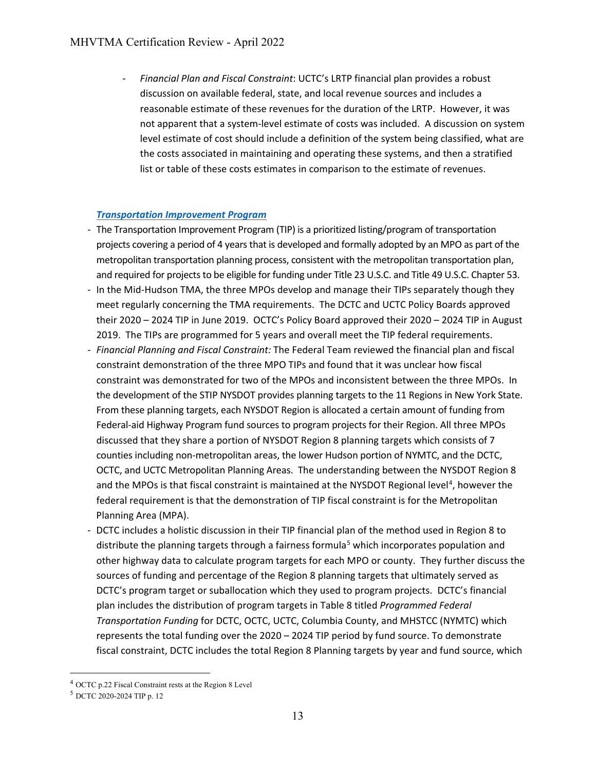- *Financial Plan and Fiscal Constraint*: UCTC's LRTP financial plan provides a robust discussion on available federal, state, and local revenue sources and includes a reasonable estimate of these revenues for the duration of the LRTP. However, it was not apparent that a system-level estimate of costs was included. A discussion on system level estimate of cost should include a definition of the system being classified, what are the costs associated in maintaining and operating these systems, and then a stratified list or table of these costs estimates in comparison to the estimate of revenues.

#### *[Transportation Improvement Program](#page-35-1)*

- The Transportation Improvement Program (TIP) is a prioritized listing/program of transportation projects covering a period of 4 years that is developed and formally adopted by an MPO as part of the metropolitan transportation planning process, consistent with the metropolitan transportation plan, and required for projects to be eligible for funding under Title 23 U.S.C. and Title 49 U.S.C. Chapter 53.
- In the Mid-Hudson TMA, the three MPOs develop and manage their TIPs separately though they meet regularly concerning the TMA requirements. The DCTC and UCTC Policy Boards approved their 2020 – 2024 TIP in June 2019. OCTC's Policy Board approved their 2020 – 2024 TIP in August 2019. The TIPs are programmed for 5 years and overall meet the TIP federal requirements.
- *Financial Planning and Fiscal Constraint:* The Federal Team reviewed the financial plan and fiscal constraint demonstration of the three MPO TIPs and found that it was unclear how fiscal constraint was demonstrated for two of the MPOs and inconsistent between the three MPOs. In the development of the STIP NYSDOT provides planning targets to the 11 Regions in New York State. From these planning targets, each NYSDOT Region is allocated a certain amount of funding from Federal-aid Highway Program fund sources to program projects for their Region. All three MPOs discussed that they share a portion of NYSDOT Region 8 planning targets which consists of 7 counties including non-metropolitan areas, the lower Hudson portion of NYMTC, and the DCTC, OCTC, and UCTC Metropolitan Planning Areas. The understanding between the NYSDOT Region 8 and the MPOs is that fiscal constraint is maintained at the NYSDOT Regional level<sup>[4](#page-15-0)</sup>, however the federal requirement is that the demonstration of TIP fiscal constraint is for the Metropolitan Planning Area (MPA).
- DCTC includes a holistic discussion in their TIP financial plan of the method used in Region 8 to distribute the planning targets through a fairness formula<sup>[5](#page-15-1)</sup> which incorporates population and other highway data to calculate program targets for each MPO or county. They further discuss the sources of funding and percentage of the Region 8 planning targets that ultimately served as DCTC's program target or suballocation which they used to program projects. DCTC's financial plan includes the distribution of program targets in Table 8 titled *Programmed Federal Transportation Funding* for DCTC, OCTC, UCTC, Columbia County, and MHSTCC (NYMTC) which represents the total funding over the 2020 – 2024 TIP period by fund source. To demonstrate fiscal constraint, DCTC includes the total Region 8 Planning targets by year and fund source, which

<span id="page-15-0"></span><sup>4</sup> OCTC p.22 Fiscal Constraint rests at the Region 8 Level

<span id="page-15-1"></span><sup>5</sup> DCTC 2020-2024 TIP p. 12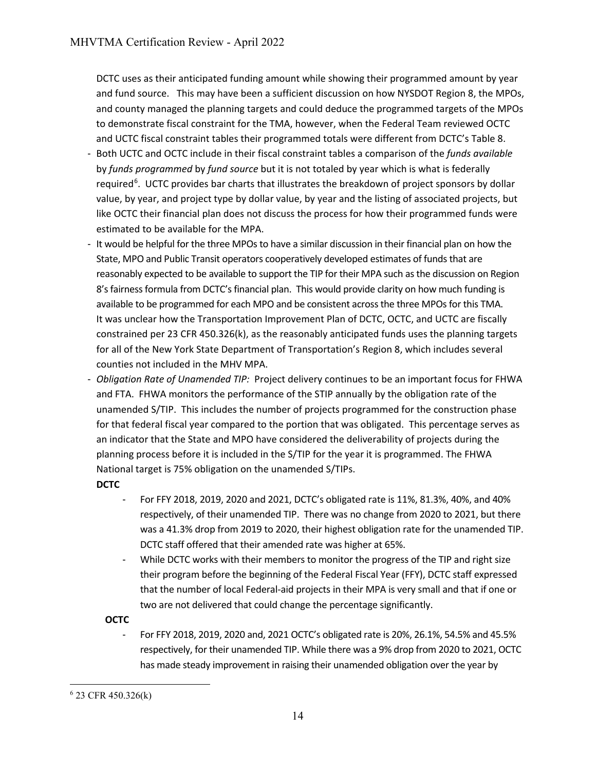DCTC uses as their anticipated funding amount while showing their programmed amount by year and fund source. This may have been a sufficient discussion on how NYSDOT Region 8, the MPOs, and county managed the planning targets and could deduce the programmed targets of the MPOs to demonstrate fiscal constraint for the TMA, however, when the Federal Team reviewed OCTC and UCTC fiscal constraint tables their programmed totals were different from DCTC's Table 8.

- Both UCTC and OCTC include in their fiscal constraint tables a comparison of the *funds available* by *funds programmed* by *fund source* but it is not totaled by year which is what is federally required<sup>[6](#page-16-0)</sup>. UCTC provides bar charts that illustrates the breakdown of project sponsors by dollar value, by year, and project type by dollar value, by year and the listing of associated projects, but like OCTC their financial plan does not discuss the process for how their programmed funds were estimated to be available for the MPA.
- It would be helpful for the three MPOs to have a similar discussion in their financial plan on how the State, MPO and Public Transit operators cooperatively developed estimates of funds that are reasonably expected to be available to support the TIP for their MPA such as the discussion on Region 8's fairness formula from DCTC's financial plan. This would provide clarity on how much funding is available to be programmed for each MPO and be consistent across the three MPOs for this TMA. It was unclear how the Transportation Improvement Plan of DCTC, OCTC, and UCTC are fiscally constrained per 23 CFR 450.326(k), as the reasonably anticipated funds uses the planning targets for all of the New York State Department of Transportation's Region 8, which includes several counties not included in the MHV MPA.
- *Obligation Rate of Unamended TIP:* Project delivery continues to be an important focus for FHWA and FTA. FHWA monitors the performance of the STIP annually by the obligation rate of the unamended S/TIP. This includes the number of projects programmed for the construction phase for that federal fiscal year compared to the portion that was obligated. This percentage serves as an indicator that the State and MPO have considered the deliverability of projects during the planning process before it is included in the S/TIP for the year it is programmed. The FHWA National target is 75% obligation on the unamended S/TIPs.

# **DCTC**

- For FFY 2018, 2019, 2020 and 2021, DCTC's obligated rate is 11%, 81.3%, 40%, and 40% respectively, of their unamended TIP. There was no change from 2020 to 2021, but there was a 41.3% drop from 2019 to 2020, their highest obligation rate for the unamended TIP. DCTC staff offered that their amended rate was higher at 65%.
- While DCTC works with their members to monitor the progress of the TIP and right size their program before the beginning of the Federal Fiscal Year (FFY), DCTC staff expressed that the number of local Federal-aid projects in their MPA is very small and that if one or two are not delivered that could change the percentage significantly.

# **OCTC**

- For FFY 2018, 2019, 2020 and, 2021 OCTC's obligated rate is 20%, 26.1%, 54.5% and 45.5% respectively, for their unamended TIP. While there was a 9% drop from 2020 to 2021, OCTC has made steady improvement in raising their unamended obligation over the year by

<span id="page-16-0"></span><sup>6</sup> 23 CFR 450.326(k)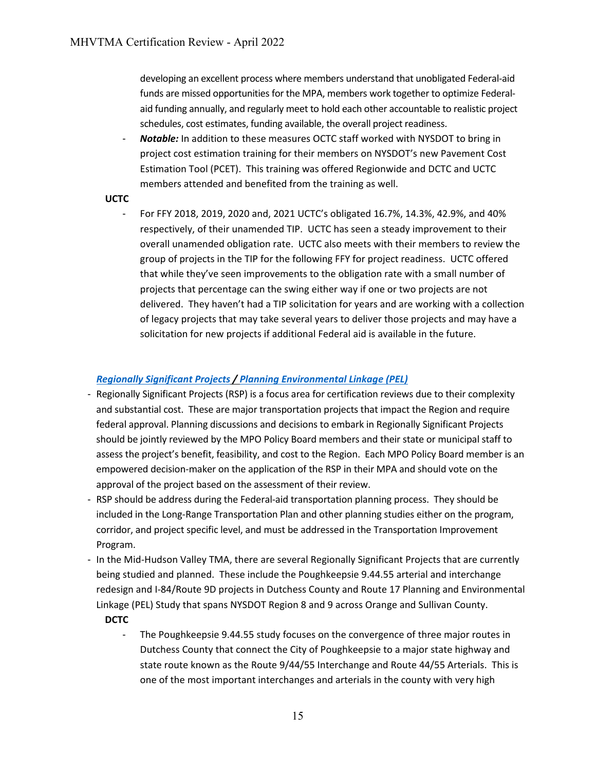developing an excellent process where members understand that unobligated Federal-aid funds are missed opportunities for the MPA, members work together to optimize Federalaid funding annually, and regularly meet to hold each other accountable to realistic project schedules, cost estimates, funding available, the overall project readiness.

Notable: In addition to these measures OCTC staff worked with NYSDOT to bring in project cost estimation training for their members on NYSDOT's new Pavement Cost Estimation Tool (PCET). This training was offered Regionwide and DCTC and UCTC members attended and benefited from the training as well.

#### **UCTC**

- For FFY 2018, 2019, 2020 and, 2021 UCTC's obligated 16.7%, 14.3%, 42.9%, and 40% respectively, of their unamended TIP. UCTC has seen a steady improvement to their overall unamended obligation rate. UCTC also meets with their members to review the group of projects in the TIP for the following FFY for project readiness. UCTC offered that while they've seen improvements to the obligation rate with a small number of projects that percentage can the swing either way if one or two projects are not delivered. They haven't had a TIP solicitation for years and are working with a collection of legacy projects that may take several years to deliver those projects and may have a solicitation for new projects if additional Federal aid is available in the future.

#### *[Regionally Significant Projects](#page-36-2) / Planning [Environmental Linkage \(PEL\)](#page-36-3)*

- Regionally Significant Projects (RSP) is a focus area for certification reviews due to their complexity and substantial cost. These are major transportation projects that impact the Region and require federal approval. Planning discussions and decisions to embark in Regionally Significant Projects should be jointly reviewed by the MPO Policy Board members and their state or municipal staff to assess the project's benefit, feasibility, and cost to the Region. Each MPO Policy Board member is an empowered decision-maker on the application of the RSP in their MPA and should vote on the approval of the project based on the assessment of their review.
- RSP should be address during the Federal-aid transportation planning process. They should be included in the Long-Range Transportation Plan and other planning studies either on the program, corridor, and project specific level, and must be addressed in the Transportation Improvement Program.
- In the Mid-Hudson Valley TMA, there are several Regionally Significant Projects that are currently being studied and planned. These include the Poughkeepsie 9.44.55 arterial and interchange redesign and I-84/Route 9D projects in Dutchess County and Route 17 Planning and Environmental Linkage (PEL) Study that spans NYSDOT Region 8 and 9 across Orange and Sullivan County.

#### **DCTC**

- The Poughkeepsie 9.44.55 study focuses on the convergence of three major routes in Dutchess County that connect the City of Poughkeepsie to a major state highway and state route known as the Route 9/44/55 Interchange and Route 44/55 Arterials. This is one of the most important interchanges and arterials in the county with very high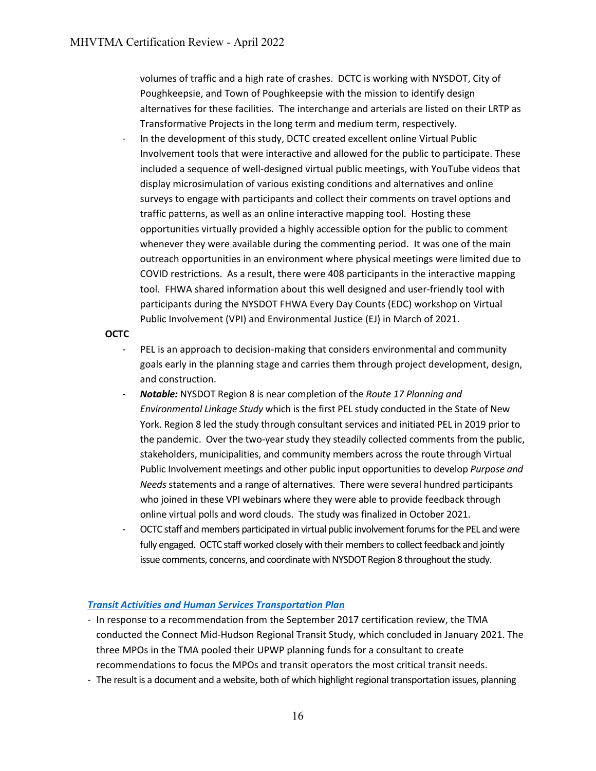volumes of traffic and a high rate of crashes. DCTC is working with NYSDOT, City of Poughkeepsie, and Town of Poughkeepsie with the mission to identify design alternatives for these facilities. The interchange and arterials are listed on their LRTP as Transformative Projects in the long term and medium term, respectively.

In the development of this study, DCTC created excellent online Virtual Public Involvement tools that were interactive and allowed for the public to participate. These included a sequence of well-designed virtual public meetings, with YouTube videos that display microsimulation of various existing conditions and alternatives and online surveys to engage with participants and collect their comments on travel options and traffic patterns, as well as an online interactive mapping tool. Hosting these opportunities virtually provided a highly accessible option for the public to comment whenever they were available during the commenting period. It was one of the main outreach opportunities in an environment where physical meetings were limited due to COVID restrictions. As a result, there were 408 participants in the interactive mapping tool. FHWA shared information about this well designed and user-friendly tool with participants during the NYSDOT FHWA Every Day Counts (EDC) workshop on Virtual Public Involvement (VPI) and Environmental Justice (EJ) in March of 2021.

#### **OCTC**

- PEL is an approach to decision-making that considers environmental and community goals early in the planning stage and carries them through project development, design, and construction.
- *Notable:* NYSDOT Region 8 is near completion of the *Route 17 Planning and Environmental Linkage Study* which is the first PEL study conducted in the State of New York. Region 8 led the study through consultant services and initiated PEL in 2019 prior to the pandemic. Over the two-year study they steadily collected comments from the public, stakeholders, municipalities, and community members across the route through Virtual Public Involvement meetings and other public input opportunities to develop *Purpose and Needs* statements and a range of alternatives. There were several hundred participants who joined in these VPI webinars where they were able to provide feedback through online virtual polls and word clouds. The study was finalized in October 2021.
- OCTC staff and members participated in virtual public involvement forums for the PEL and were fully engaged. OCTC staff worked closely with their members to collect feedback and jointly issue comments, concerns, and coordinate with NYSDOT Region 8 throughout the study.

# *Transit Activities and [Human Services Transportation Plan](#page-36-0)*

- In response to a recommendation from the September 2017 certification review, the TMA conducted the Connect Mid-Hudson Regional Transit Study, which concluded in January 2021. The three MPOs in the TMA pooled their UPWP planning funds for a consultant to create recommendations to focus the MPOs and transit operators the most critical transit needs.
- The result is a document and a website, both of which highlight regional transportation issues, planning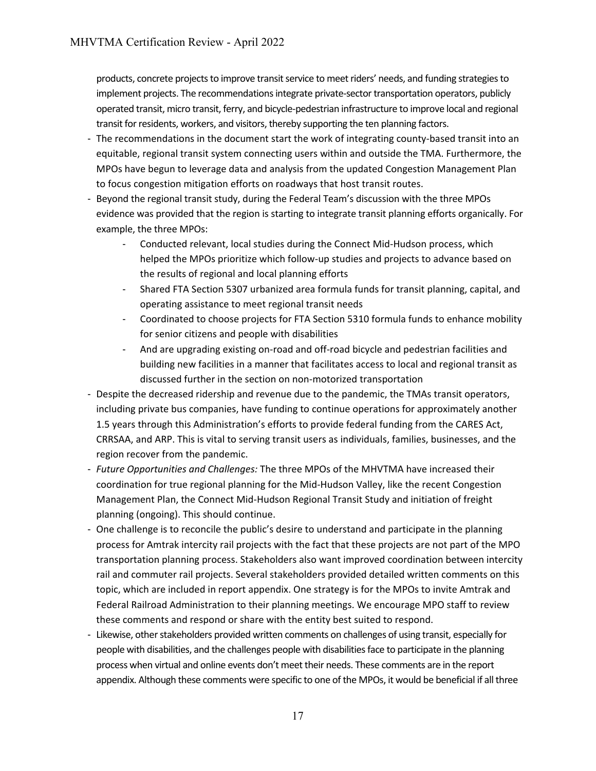products, concrete projects to improve transit service to meet riders' needs, and funding strategies to implement projects. The recommendations integrate private-sector transportation operators, publicly operated transit, micro transit, ferry, and bicycle-pedestrian infrastructure to improve local and regional transit for residents, workers, and visitors, thereby supporting the ten planning factors.

- The recommendations in the document start the work of integrating county-based transit into an equitable, regional transit system connecting users within and outside the TMA. Furthermore, the MPOs have begun to leverage data and analysis from the updated Congestion Management Plan to focus congestion mitigation efforts on roadways that host transit routes.
- Beyond the regional transit study, during the Federal Team's discussion with the three MPOs evidence was provided that the region is starting to integrate transit planning efforts organically. For example, the three MPOs:
	- Conducted relevant, local studies during the Connect Mid-Hudson process, which helped the MPOs prioritize which follow-up studies and projects to advance based on the results of regional and local planning efforts
	- Shared FTA Section 5307 urbanized area formula funds for transit planning, capital, and operating assistance to meet regional transit needs
	- Coordinated to choose projects for FTA Section 5310 formula funds to enhance mobility for senior citizens and people with disabilities
	- And are upgrading existing on-road and off-road bicycle and pedestrian facilities and building new facilities in a manner that facilitates access to local and regional transit as discussed further in the section on non-motorized transportation
- Despite the decreased ridership and revenue due to the pandemic, the TMAs transit operators, including private bus companies, have funding to continue operations for approximately another 1.5 years through this Administration's efforts to provide federal funding from the CARES Act, CRRSAA, and ARP. This is vital to serving transit users as individuals, families, businesses, and the region recover from the pandemic.
- *Future Opportunities and Challenges:* The three MPOs of the MHVTMA have increased their coordination for true regional planning for the Mid-Hudson Valley, like the recent Congestion Management Plan, the Connect Mid-Hudson Regional Transit Study and initiation of freight planning (ongoing). This should continue.
- One challenge is to reconcile the public's desire to understand and participate in the planning process for Amtrak intercity rail projects with the fact that these projects are not part of the MPO transportation planning process. Stakeholders also want improved coordination between intercity rail and commuter rail projects. Several stakeholders provided detailed written comments on this topic, which are included in report appendix. One strategy is for the MPOs to invite Amtrak and Federal Railroad Administration to their planning meetings. We encourage MPO staff to review these comments and respond or share with the entity best suited to respond.
- Likewise, other stakeholders provided written comments on challenges of using transit, especially for people with disabilities, and the challenges people with disabilities face to participate in the planning process when virtual and online events don't meet their needs. These comments are in the report appendix. Although these comments were specific to one of the MPOs, it would be beneficial if all three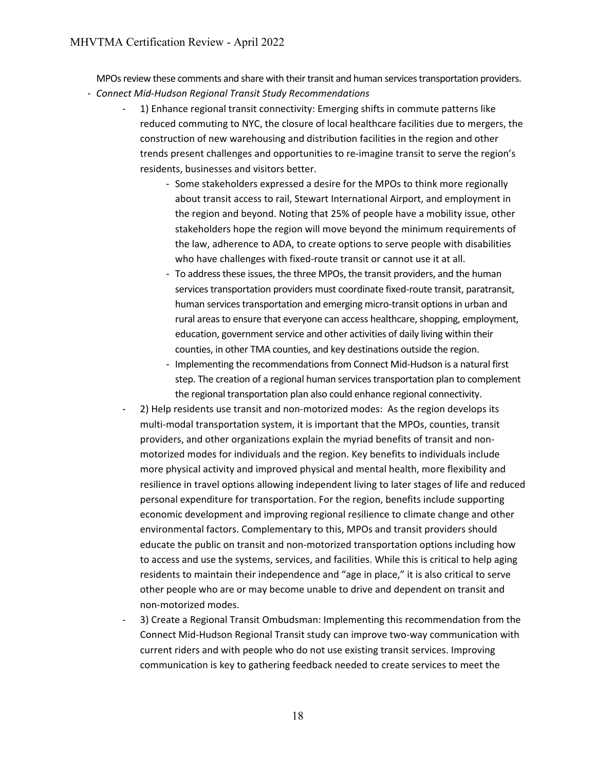MPOs review these comments and share with their transit and human services transportation providers.

- *Connect Mid-Hudson Regional Transit Study Recommendations*
	- 1) Enhance regional transit connectivity: Emerging shifts in commute patterns like reduced commuting to NYC, the closure of local healthcare facilities due to mergers, the construction of new warehousing and distribution facilities in the region and other trends present challenges and opportunities to re-imagine transit to serve the region's residents, businesses and visitors better.
		- Some stakeholders expressed a desire for the MPOs to think more regionally about transit access to rail, Stewart International Airport, and employment in the region and beyond. Noting that 25% of people have a mobility issue, other stakeholders hope the region will move beyond the minimum requirements of the law, adherence to ADA, to create options to serve people with disabilities who have challenges with fixed-route transit or cannot use it at all.
		- To address these issues, the three MPOs, the transit providers, and the human services transportation providers must coordinate fixed-route transit, paratransit, human services transportation and emerging micro-transit options in urban and rural areas to ensure that everyone can access healthcare, shopping, employment, education, government service and other activities of daily living within their counties, in other TMA counties, and key destinations outside the region.
		- Implementing the recommendations from Connect Mid-Hudson is a natural first step. The creation of a regional human services transportation plan to complement the regional transportation plan also could enhance regional connectivity.
	- 2) Help residents use transit and non-motorized modes: As the region develops its multi-modal transportation system, it is important that the MPOs, counties, transit providers, and other organizations explain the myriad benefits of transit and nonmotorized modes for individuals and the region. Key benefits to individuals include more physical activity and improved physical and mental health, more flexibility and resilience in travel options allowing independent living to later stages of life and reduced personal expenditure for transportation. For the region, benefits include supporting economic development and improving regional resilience to climate change and other environmental factors. Complementary to this, MPOs and transit providers should educate the public on transit and non-motorized transportation options including how to access and use the systems, services, and facilities. While this is critical to help aging residents to maintain their independence and "age in place," it is also critical to serve other people who are or may become unable to drive and dependent on transit and non-motorized modes.
	- 3) Create a Regional Transit Ombudsman: Implementing this recommendation from the Connect Mid-Hudson Regional Transit study can improve two-way communication with current riders and with people who do not use existing transit services. Improving communication is key to gathering feedback needed to create services to meet the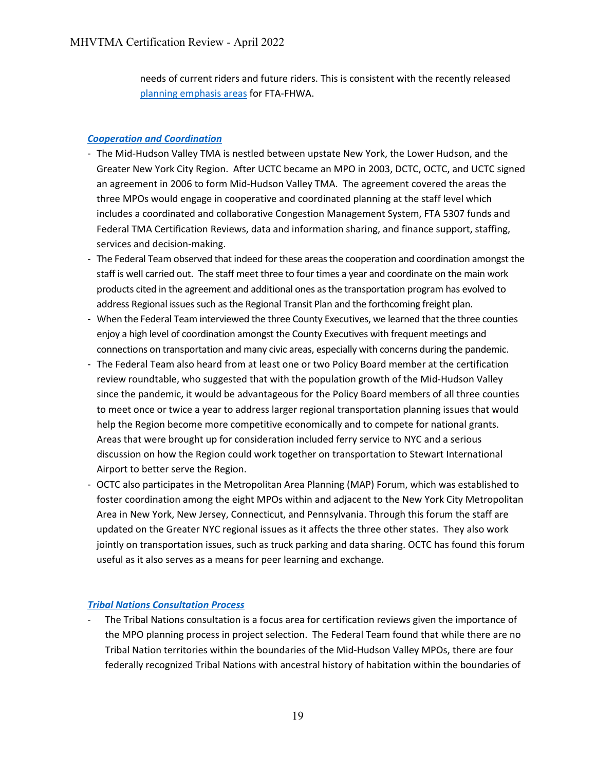needs of current riders and future riders. This is consistent with the recently released [planning emphasis areas](https://www.transit.dot.gov/regulations-and-programs/transportation-planning/2021-planning-emphasis-areas) for FTA-FHWA.

# *[Cooperation and Coordination](#page-36-1)*

- The Mid-Hudson Valley TMA is nestled between upstate New York, the Lower Hudson, and the Greater New York City Region. After UCTC became an MPO in 2003, DCTC, OCTC, and UCTC signed an agreement in 2006 to form Mid-Hudson Valley TMA. The agreement covered the areas the three MPOs would engage in cooperative and coordinated planning at the staff level which includes a coordinated and collaborative Congestion Management System, FTA 5307 funds and Federal TMA Certification Reviews, data and information sharing, and finance support, staffing, services and decision-making.
- The Federal Team observed that indeed for these areas the cooperation and coordination amongst the staff is well carried out. The staff meet three to four times a year and coordinate on the main work products cited in the agreement and additional ones as the transportation program has evolved to address Regional issues such as the Regional Transit Plan and the forthcoming freight plan.
- When the Federal Team interviewed the three County Executives, we learned that the three counties enjoy a high level of coordination amongst the County Executives with frequent meetings and connections on transportation and many civic areas, especially with concerns during the pandemic.
- The Federal Team also heard from at least one or two Policy Board member at the certification review roundtable, who suggested that with the population growth of the Mid-Hudson Valley since the pandemic, it would be advantageous for the Policy Board members of all three counties to meet once or twice a year to address larger regional transportation planning issues that would help the Region become more competitive economically and to compete for national grants. Areas that were brought up for consideration included ferry service to NYC and a serious discussion on how the Region could work together on transportation to Stewart International Airport to better serve the Region.
- OCTC also participates in the Metropolitan Area Planning (MAP) Forum, which was established to foster coordination among the eight MPOs within and adjacent to the New York City Metropolitan Area in New York, New Jersey, Connecticut, and Pennsylvania. Through this forum the staff are updated on the Greater NYC regional issues as it affects the three other states. They also work jointly on transportation issues, such as truck parking and data sharing. OCTC has found this forum useful as it also serves as a means for peer learning and exchange.

#### *[Tribal Nations Consultation Process](#page-37-1)*

The Tribal Nations consultation is a focus area for certification reviews given the importance of the MPO planning process in project selection. The Federal Team found that while there are no Tribal Nation territories within the boundaries of the Mid-Hudson Valley MPOs, there are four federally recognized Tribal Nations with ancestral history of habitation within the boundaries of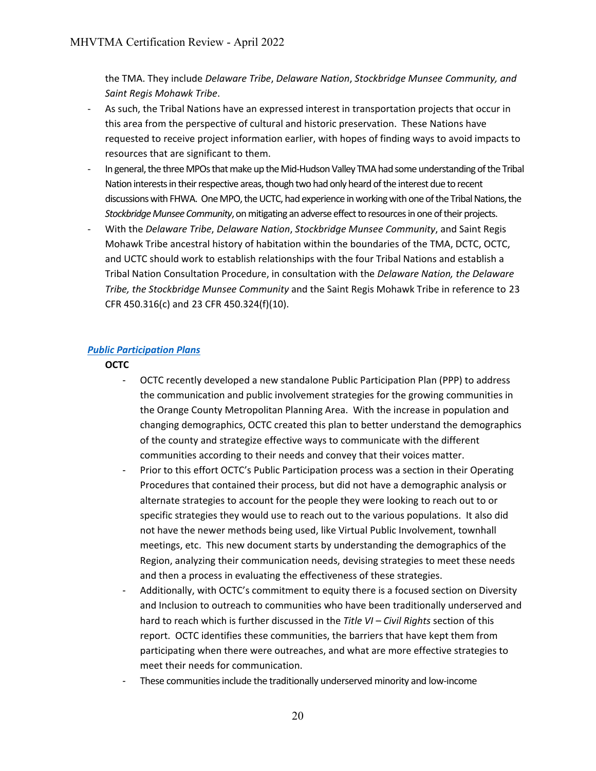the TMA. They include *Delaware Tribe*, *Delaware Nation*, *Stockbridge Munsee Community, and Saint Regis Mohawk Tribe*.

- As such, the Tribal Nations have an expressed interest in transportation projects that occur in this area from the perspective of cultural and historic preservation. These Nations have requested to receive project information earlier, with hopes of finding ways to avoid impacts to resources that are significant to them.
- In general, the three MPOs that make up the Mid-Hudson Valley TMA had some understanding of the Tribal Nation interests in their respective areas, though two had only heard of the interest due to recent discussions with FHWA. One MPO, the UCTC, had experience in working with one of the Tribal Nations, the *Stockbridge Munsee Community*, on mitigating an adverse effect to resources in one of their projects.
- With the *Delaware Tribe*, *Delaware Nation*, *Stockbridge Munsee Community*, and Saint Regis Mohawk Tribe ancestral history of habitation within the boundaries of the TMA, DCTC, OCTC, and UCTC should work to establish relationships with the four Tribal Nations and establish a Tribal Nation Consultation Procedure, in consultation with the *Delaware Nation, the Delaware Tribe, the Stockbridge Munsee Community* and the Saint Regis Mohawk Tribe in reference to 23 CFR 450.316(c) and 23 CFR 450.324(f)(10).

#### *[Public Participation Plans](#page-37-2)*

**OCTC** 

- OCTC recently developed a new standalone Public Participation Plan (PPP) to address the communication and public involvement strategies for the growing communities in the Orange County Metropolitan Planning Area. With the increase in population and changing demographics, OCTC created this plan to better understand the demographics of the county and strategize effective ways to communicate with the different communities according to their needs and convey that their voices matter.
- Prior to this effort OCTC's Public Participation process was a section in their Operating Procedures that contained their process, but did not have a demographic analysis or alternate strategies to account for the people they were looking to reach out to or specific strategies they would use to reach out to the various populations. It also did not have the newer methods being used, like Virtual Public Involvement, townhall meetings, etc. This new document starts by understanding the demographics of the Region, analyzing their communication needs, devising strategies to meet these needs and then a process in evaluating the effectiveness of these strategies.
- Additionally, with OCTC's commitment to equity there is a focused section on Diversity and Inclusion to outreach to communities who have been traditionally underserved and hard to reach which is further discussed in the *Title VI – Civil Rights* section of this report. OCTC identifies these communities, the barriers that have kept them from participating when there were outreaches, and what are more effective strategies to meet their needs for communication.
- These communities include the traditionally underserved minority and low-income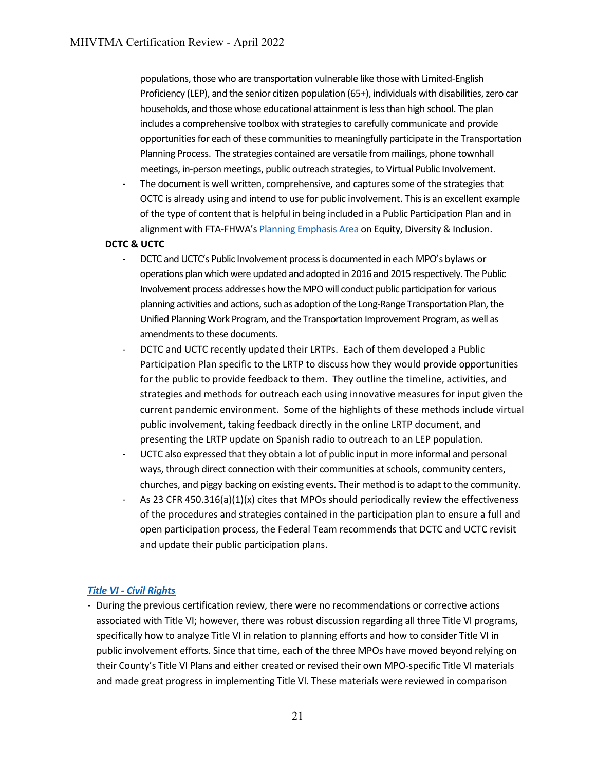populations, those who are transportation vulnerable like those with Limited-English Proficiency (LEP), and the senior citizen population (65+), individuals with disabilities, zero car households, and those whose educational attainment is less than high school. The plan includes a comprehensive toolbox with strategies to carefully communicate and provide opportunities for each of these communities to meaningfully participate in the Transportation Planning Process. The strategies contained are versatile from mailings, phone townhall meetings, in-person meetings, public outreach strategies, to Virtual Public Involvement.

The document is well written, comprehensive, and captures some of the strategies that OCTC is already using and intend to use for public involvement. This is an excellent example of the type of content that is helpful in being included in a Public Participation Plan and in alignment with FTA-FHWA'[s Planning Emphasis Area](https://www.transit.dot.gov/sites/fta.dot.gov/files/2022-01/Planning-Emphasis-Areas-12-30-2021.pdf) on Equity, Diversity & Inclusion.

#### **DCTC & UCTC**

- DCTC and UCTC's Public Involvement process is documented in each MPO's bylaws or operations plan which were updated and adopted in 2016 and 2015 respectively. The Public Involvement process addresses how the MPO will conduct public participation for various planning activities and actions, such as adoption of the Long-Range Transportation Plan, the Unified Planning Work Program, and the Transportation Improvement Program, as well as amendments to these documents.
- DCTC and UCTC recently updated their LRTPs. Each of them developed a Public Participation Plan specific to the LRTP to discuss how they would provide opportunities for the public to provide feedback to them. They outline the timeline, activities, and strategies and methods for outreach each using innovative measures for input given the current pandemic environment. Some of the highlights of these methods include virtual public involvement, taking feedback directly in the online LRTP document, and presenting the LRTP update on Spanish radio to outreach to an LEP population.
- UCTC also expressed that they obtain a lot of public input in more informal and personal ways, through direct connection with their communities at schools, community centers, churches, and piggy backing on existing events. Their method is to adapt to the community.
- As 23 CFR 450.316(a)(1)(x) cites that MPOs should periodically review the effectiveness of the procedures and strategies contained in the participation plan to ensure a full and open participation process, the Federal Team recommends that DCTC and UCTC revisit and update their public participation plans.

#### *[Title VI - Civil Rights](#page-37-0)*

- During the previous certification review, there were no recommendations or corrective actions associated with Title VI; however, there was robust discussion regarding all three Title VI programs, specifically how to analyze Title VI in relation to planning efforts and how to consider Title VI in public involvement efforts. Since that time, each of the three MPOs have moved beyond relying on their County's Title VI Plans and either created or revised their own MPO-specific Title VI materials and made great progress in implementing Title VI. These materials were reviewed in comparison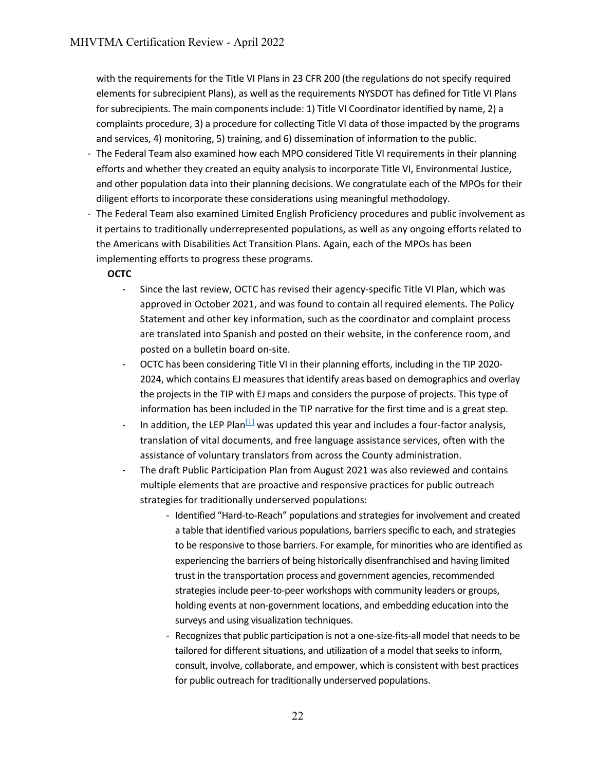with the requirements for the Title VI Plans in 23 CFR 200 (the regulations do not specify required elements for subrecipient Plans), as well as the requirements NYSDOT has defined for Title VI Plans for subrecipients. The main components include: 1) Title VI Coordinator identified by name, 2) a complaints procedure, 3) a procedure for collecting Title VI data of those impacted by the programs and services, 4) monitoring, 5) training, and 6) dissemination of information to the public.

- The Federal Team also examined how each MPO considered Title VI requirements in their planning efforts and whether they created an equity analysis to incorporate Title VI, Environmental Justice, and other population data into their planning decisions. We congratulate each of the MPOs for their diligent efforts to incorporate these considerations using meaningful methodology.
- The Federal Team also examined Limited English Proficiency procedures and public involvement as it pertains to traditionally underrepresented populations, as well as any ongoing efforts related to the Americans with Disabilities Act Transition Plans. Again, each of the MPOs has been implementing efforts to progress these programs.

#### **OCTC**

- Since the last review, OCTC has revised their agency-specific Title VI Plan, which was approved in October 2021, and was found to contain all required elements. The Policy Statement and other key information, such as the coordinator and complaint process are translated into Spanish and posted on their website, in the conference room, and posted on a bulletin board on-site.
- OCTC has been considering Title VI in their planning efforts, including in the TIP 2020- 2024, which contains EJ measures that identify areas based on demographics and overlay the projects in the TIP with EJ maps and considers the purpose of projects. This type of information has been included in the TIP narrative for the first time and is a great step.
- In addition, the LEP Plan $\left[\frac{11}{11}\right]$  was updated this year and includes a four-factor analysis, translation of vital documents, and free language assistance services, often with the assistance of voluntary translators from across the County administration.
- The draft Public Participation Plan from August 2021 was also reviewed and contains multiple elements that are proactive and responsive practices for public outreach strategies for traditionally underserved populations:
	- Identified "Hard-to-Reach" populations and strategies for involvement and created a table that identified various populations, barriers specific to each, and strategies to be responsive to those barriers. For example, for minorities who are identified as experiencing the barriers of being historically disenfranchised and having limited trust in the transportation process and government agencies, recommended strategies include peer-to-peer workshops with community leaders or groups, holding events at non-government locations, and embedding education into the surveys and using visualization techniques.
	- Recognizes that public participation is not a one-size-fits-all model that needs to be tailored for different situations, and utilization of a model that seeks to inform, consult, involve, collaborate, and empower, which is consistent with best practices for public outreach for traditionally underserved populations.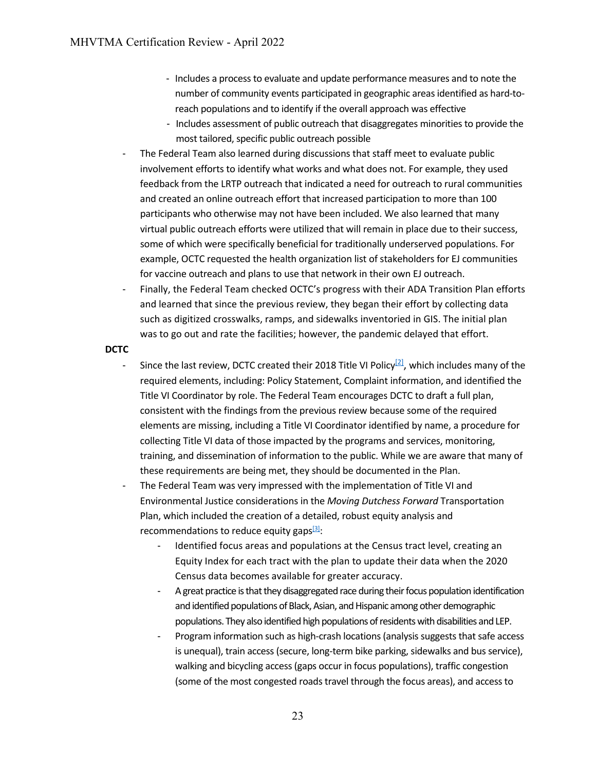- Includes a process to evaluate and update performance measures and to note the number of community events participated in geographic areas identified as hard-toreach populations and to identify if the overall approach was effective
- Includes assessment of public outreach that disaggregates minorities to provide the most tailored, specific public outreach possible
- The Federal Team also learned during discussions that staff meet to evaluate public involvement efforts to identify what works and what does not. For example, they used feedback from the LRTP outreach that indicated a need for outreach to rural communities and created an online outreach effort that increased participation to more than 100 participants who otherwise may not have been included. We also learned that many virtual public outreach efforts were utilized that will remain in place due to their success, some of which were specifically beneficial for traditionally underserved populations. For example, OCTC requested the health organization list of stakeholders for EJ communities for vaccine outreach and plans to use that network in their own EJ outreach.
- Finally, the Federal Team checked OCTC's progress with their ADA Transition Plan efforts and learned that since the previous review, they began their effort by collecting data such as digitized crosswalks, ramps, and sidewalks inventoried in GIS. The initial plan was to go out and rate the facilities; however, the pandemic delayed that effort.

#### **DCTC**

- Since the last review, DCTC created their 2018 Title VI Policy<sup>[2]</sup>, which includes many of the required elements, including: Policy Statement, Complaint information, and identified the Title VI Coordinator by role. The Federal Team encourages DCTC to draft a full plan, consistent with the findings from the previous review because some of the required elements are missing, including a Title VI Coordinator identified by name, a procedure for collecting Title VI data of those impacted by the programs and services, monitoring, training, and dissemination of information to the public. While we are aware that many of these requirements are being met, they should be documented in the Plan.
- The Federal Team was very impressed with the implementation of Title VI and Environmental Justice considerations in the *Moving Dutchess Forward* Transportation Plan, which included the creation of a detailed, robust equity analysis and recommendations to reduce equity gaps $[3]$ :
	- Identified focus areas and populations at the Census tract level, creating an Equity Index for each tract with the plan to update their data when the 2020 Census data becomes available for greater accuracy.
	- A great practice is that they disaggregated race during their focus population identification and identified populations of Black, Asian, and Hispanic among other demographic populations. They also identified high populations of residents with disabilities and LEP.
	- Program information such as high-crash locations (analysis suggests that safe access is unequal), train access (secure, long-term bike parking, sidewalks and bus service), walking and bicycling access (gaps occur in focus populations), traffic congestion (some of the most congested roads travel through the focus areas), and access to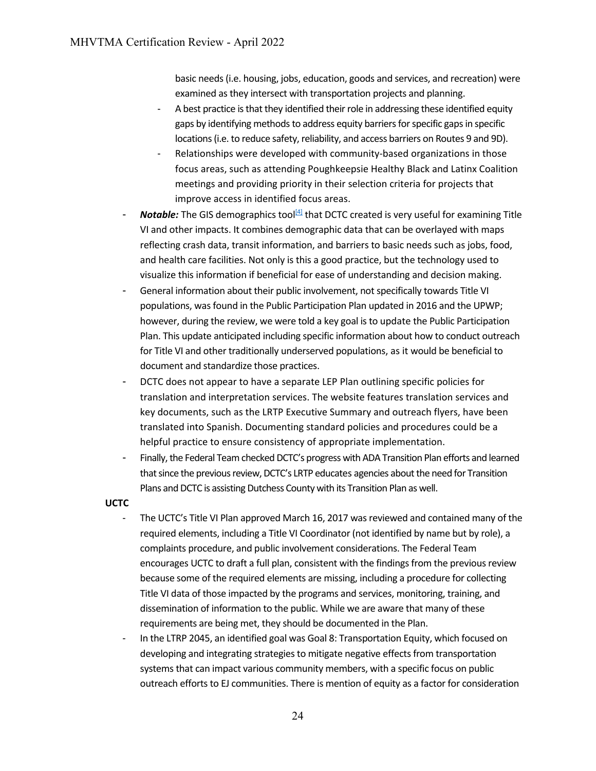basic needs (i.e. housing, jobs, education, goods and services, and recreation) were examined as they intersect with transportation projects and planning.

- A best practice is that they identified their role in addressing these identified equity gaps by identifying methods to address equity barriers for specific gaps in specific locations (i.e. to reduce safety, reliability, and access barriers on Routes 9 and 9D).
- Relationships were developed with community-based organizations in those focus areas, such as attending Poughkeepsie Healthy Black and Latinx Coalition meetings and providing priority in their selection criteria for projects that improve access in identified focus areas.
- *Notable:* The GIS demographics tool<sup>[4]</sup> that DCTC created is very useful for examining Title VI and other impacts. It combines demographic data that can be overlayed with maps reflecting crash data, transit information, and barriers to basic needs such as jobs, food, and health care facilities. Not only is this a good practice, but the technology used to visualize this information if beneficial for ease of understanding and decision making.
- General information about their public involvement, not specifically towards Title VI populations, was found in the Public Participation Plan updated in 2016 and the UPWP; however, during the review, we were told a key goal is to update the Public Participation Plan. This update anticipated including specific information about how to conduct outreach for Title VI and other traditionally underserved populations, as it would be beneficial to document and standardize those practices.
- DCTC does not appear to have a separate LEP Plan outlining specific policies for translation and interpretation services. The website features translation services and key documents, such as the LRTP Executive Summary and outreach flyers, have been translated into Spanish. Documenting standard policies and procedures could be a helpful practice to ensure consistency of appropriate implementation.
- Finally, the Federal Team checked DCTC's progress with ADA Transition Plan efforts and learned that since the previous review, DCTC's LRTP educates agencies about the need for Transition Plans and DCTC is assisting Dutchess County with its Transition Plan as well.

#### **UCTC**

- The UCTC's Title VI Plan approved March 16, 2017 was reviewed and contained many of the required elements, including a Title VI Coordinator (not identified by name but by role), a complaints procedure, and public involvement considerations. The Federal Team encourages UCTC to draft a full plan, consistent with the findings from the previous review because some of the required elements are missing, including a procedure for collecting Title VI data of those impacted by the programs and services, monitoring, training, and dissemination of information to the public. While we are aware that many of these requirements are being met, they should be documented in the Plan.
- In the LTRP 2045, an identified goal was Goal 8: Transportation Equity, which focused on developing and integrating strategies to mitigate negative effects from transportation systems that can impact various community members, with a specific focus on public outreach efforts to EJ communities. There is mention of equity as a factor for consideration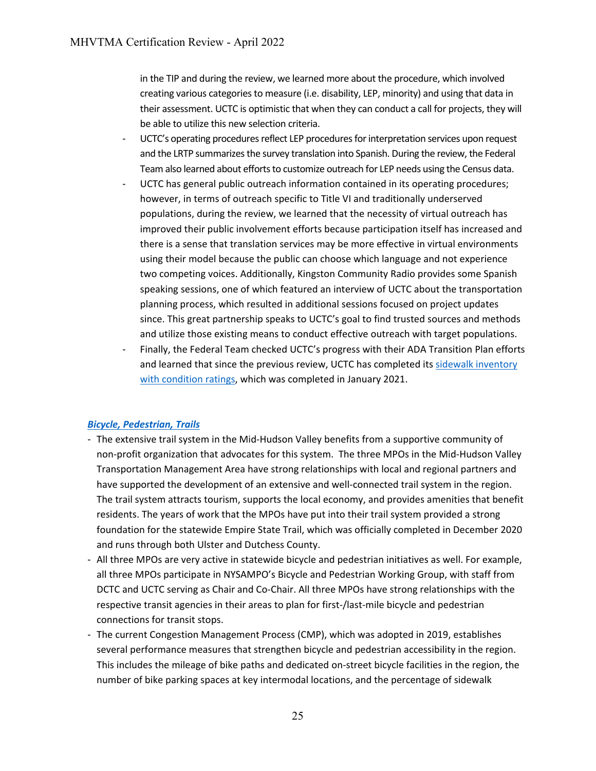in the TIP and during the review, we learned more about the procedure, which involved creating various categories to measure (i.e. disability, LEP, minority) and using that data in their assessment. UCTC is optimistic that when they can conduct a call for projects, they will be able to utilize this new selection criteria.

- UCTC's operating procedures reflect LEP procedures for interpretation services upon request and the LRTP summarizes the survey translation into Spanish. During the review, the Federal Team also learned about efforts to customize outreach for LEP needs using the Census data.
- UCTC has general public outreach information contained in its operating procedures; however, in terms of outreach specific to Title VI and traditionally underserved populations, during the review, we learned that the necessity of virtual outreach has improved their public involvement efforts because participation itself has increased and there is a sense that translation services may be more effective in virtual environments using their model because the public can choose which language and not experience two competing voices. Additionally, Kingston Community Radio provides some Spanish speaking sessions, one of which featured an interview of UCTC about the transportation planning process, which resulted in additional sessions focused on project updates since. This great partnership speaks to UCTC's goal to find trusted sources and methods and utilize those existing means to conduct effective outreach with target populations.
- Finally, the Federal Team checked UCTC's progress with their ADA Transition Plan efforts and learned that since the previous review, UCTC has completed it[s sidewalk inventory](https://ulstercounty.maps.arcgis.com/apps/dashboards/dd1f7ce49aac4ddda51c6df1712626e5)  [with condition ratings,](https://ulstercounty.maps.arcgis.com/apps/dashboards/dd1f7ce49aac4ddda51c6df1712626e5) which was completed in January 2021.

#### *Bicycle, Pedestrian, Trails*

- The extensive trail system in the Mid-Hudson Valley benefits from a supportive community of non-profit organization that advocates for this system. The three MPOs in the Mid-Hudson Valley Transportation Management Area have strong relationships with local and regional partners and have supported the development of an extensive and well-connected trail system in the region. The trail system attracts tourism, supports the local economy, and provides amenities that benefit residents. The years of work that the MPOs have put into their trail system provided a strong foundation for the statewide Empire State Trail, which was officially completed in December 2020 and runs through both Ulster and Dutchess County.
- All three MPOs are very active in statewide bicycle and pedestrian initiatives as well. For example, all three MPOs participate in NYSAMPO's Bicycle and Pedestrian Working Group, with staff from DCTC and UCTC serving as Chair and Co-Chair. All three MPOs have strong relationships with the respective transit agencies in their areas to plan for first-/last-mile bicycle and pedestrian connections for transit stops.
- The current Congestion Management Process (CMP), which was adopted in 2019, establishes several performance measures that strengthen bicycle and pedestrian accessibility in the region. This includes the mileage of bike paths and dedicated on-street bicycle facilities in the region, the number of bike parking spaces at key intermodal locations, and the percentage of sidewalk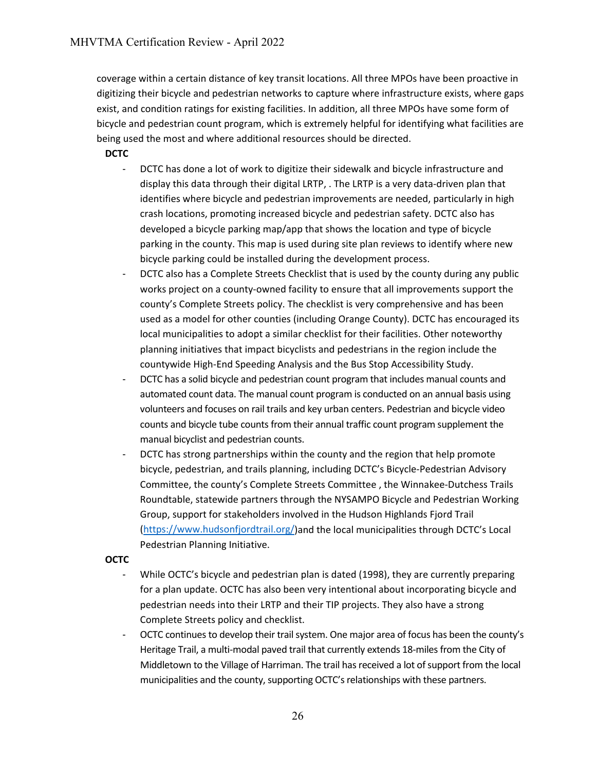coverage within a certain distance of key transit locations. All three MPOs have been proactive in digitizing their bicycle and pedestrian networks to capture where infrastructure exists, where gaps exist, and condition ratings for existing facilities. In addition, all three MPOs have some form of bicycle and pedestrian count program, which is extremely helpful for identifying what facilities are being used the most and where additional resources should be directed.

#### **DCTC**

- DCTC has done a lot of work to digitize their sidewalk and bicycle infrastructure and display this data through their digital LRTP, . The LRTP is a very data-driven plan that identifies where bicycle and pedestrian improvements are needed, particularly in high crash locations, promoting increased bicycle and pedestrian safety. DCTC also has developed a bicycle parking map/app that shows the location and type of bicycle parking in the county. This map is used during site plan reviews to identify where new bicycle parking could be installed during the development process.
- DCTC also has a Complete Streets Checklist that is used by the county during any public works project on a county-owned facility to ensure that all improvements support the county's Complete Streets policy. The checklist is very comprehensive and has been used as a model for other counties (including Orange County). DCTC has encouraged its local municipalities to adopt a similar checklist for their facilities. Other noteworthy planning initiatives that impact bicyclists and pedestrians in the region include the countywide High-End Speeding Analysis and the Bus Stop Accessibility Study.
- DCTC has a solid bicycle and pedestrian count program that includes manual counts and automated count data. The manual count program is conducted on an annual basis using volunteers and focuses on rail trails and key urban centers. Pedestrian and bicycle video counts and bicycle tube counts from their annual traffic count program supplement the manual bicyclist and pedestrian counts.
- DCTC has strong partnerships within the county and the region that help promote bicycle, pedestrian, and trails planning, including DCTC's Bicycle-Pedestrian Advisory Committee, the county's Complete Streets Committee , the Winnakee-Dutchess Trails Roundtable, statewide partners through the NYSAMPO Bicycle and Pedestrian Working Group, support for stakeholders involved in the Hudson Highlands Fjord Trail [\(https://www.hudsonfjordtrail.org/\)](https://www.hudsonfjordtrail.org/)and the local municipalities through DCTC's Local Pedestrian Planning Initiative.

#### **OCTC**

- While OCTC's bicycle and pedestrian plan is dated (1998), they are currently preparing for a plan update. OCTC has also been very intentional about incorporating bicycle and pedestrian needs into their LRTP and their TIP projects. They also have a strong Complete Streets policy and checklist.
- OCTC continues to develop their trail system. One major area of focus has been the county's Heritage Trail, a multi-modal paved trail that currently extends 18-miles from the City of Middletown to the Village of Harriman. The trail has received a lot of support from the local municipalities and the county, supporting OCTC's relationships with these partners.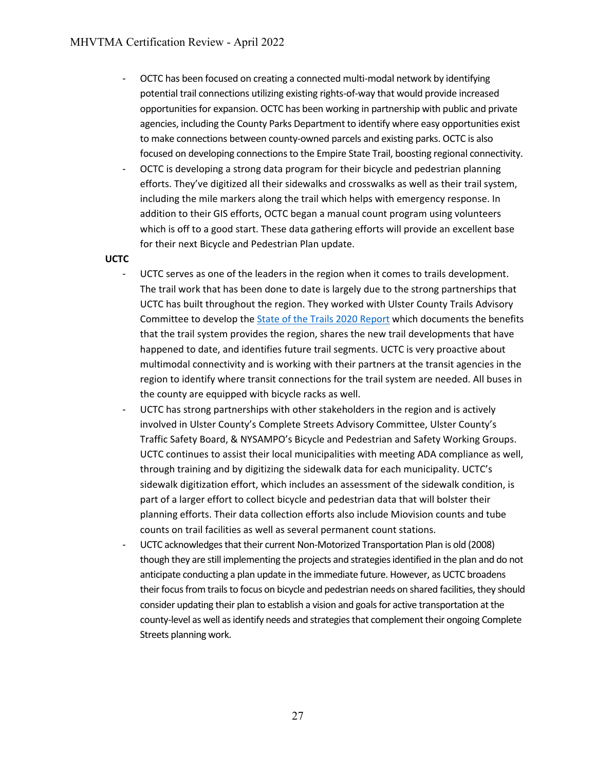- OCTC has been focused on creating a connected multi-modal network by identifying potential trail connections utilizing existing rights-of-way that would provide increased opportunities for expansion. OCTC has been working in partnership with public and private agencies, including the County Parks Department to identify where easy opportunities exist to make connections between county-owned parcels and existing parks. OCTC is also focused on developing connections to the Empire State Trail, boosting regional connectivity.
- OCTC is developing a strong data program for their bicycle and pedestrian planning efforts. They've digitized all their sidewalks and crosswalks as well as their trail system, including the mile markers along the trail which helps with emergency response. In addition to their GIS efforts, OCTC began a manual count program using volunteers which is off to a good start. These data gathering efforts will provide an excellent base for their next Bicycle and Pedestrian Plan update.

#### **UCTC**

- UCTC serves as one of the leaders in the region when it comes to trails development. The trail work that has been done to date is largely due to the strong partnerships that UCTC has built throughout the region. They worked with Ulster County Trails Advisory Committee to develop the [State of the Trails 2020 Report](https://ulstercountyny.gov/sites/default/files/documents/planning/Ulster%20County%20State%20of%20the%20Trails%20%5B2020%5D.pdf) which documents the benefits that the trail system provides the region, shares the new trail developments that have happened to date, and identifies future trail segments. UCTC is very proactive about multimodal connectivity and is working with their partners at the transit agencies in the region to identify where transit connections for the trail system are needed. All buses in the county are equipped with bicycle racks as well.
- UCTC has strong partnerships with other stakeholders in the region and is actively involved in Ulster County's Complete Streets Advisory Committee, Ulster County's Traffic Safety Board, & NYSAMPO's Bicycle and Pedestrian and Safety Working Groups. UCTC continues to assist their local municipalities with meeting ADA compliance as well, through training and by digitizing the sidewalk data for each municipality. UCTC's sidewalk digitization effort, which includes an assessment of the sidewalk condition, is part of a larger effort to collect bicycle and pedestrian data that will bolster their planning efforts. Their data collection efforts also include Miovision counts and tube counts on trail facilities as well as several permanent count stations.
- UCTC acknowledges that their current Non-Motorized Transportation Plan is old (2008) though they are still implementing the projects and strategies identified in the plan and do not anticipate conducting a plan update in the immediate future. However, as UCTC broadens their focus from trails to focus on bicycle and pedestrian needs on shared facilities, they should consider updating their plan to establish a vision and goals for active transportation at the county-level as well asidentify needs and strategies that complement their ongoing Complete Streets planning work.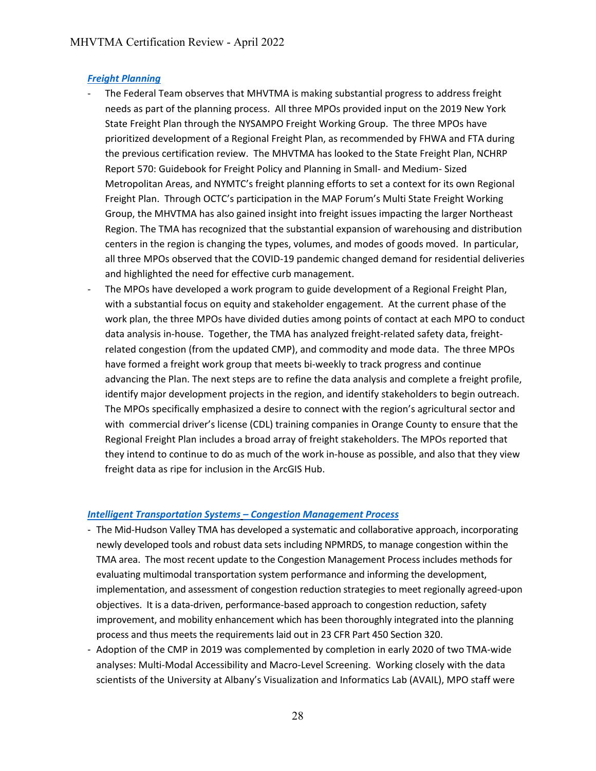#### *[Freight Planning](#page-38-0)*

- The Federal Team observes that MHVTMA is making substantial progress to address freight needs as part of the planning process. All three MPOs provided input on the 2019 New York State Freight Plan through the NYSAMPO Freight Working Group. The three MPOs have prioritized development of a Regional Freight Plan, as recommended by FHWA and FTA during the previous certification review. The MHVTMA has looked to the State Freight Plan, NCHRP Report 570: Guidebook for Freight Policy and Planning in Small- and Medium- Sized Metropolitan Areas, and NYMTC's freight planning efforts to set a context for its own Regional Freight Plan. Through OCTC's participation in the MAP Forum's Multi State Freight Working Group, the MHVTMA has also gained insight into freight issues impacting the larger Northeast Region. The TMA has recognized that the substantial expansion of warehousing and distribution centers in the region is changing the types, volumes, and modes of goods moved. In particular, all three MPOs observed that the COVID-19 pandemic changed demand for residential deliveries and highlighted the need for effective curb management.
- The MPOs have developed a work program to guide development of a Regional Freight Plan, with a substantial focus on equity and stakeholder engagement. At the current phase of the work plan, the three MPOs have divided duties among points of contact at each MPO to conduct data analysis in-house. Together, the TMA has analyzed freight-related safety data, freightrelated congestion (from the updated CMP), and commodity and mode data. The three MPOs have formed a freight work group that meets bi-weekly to track progress and continue advancing the Plan. The next steps are to refine the data analysis and complete a freight profile, identify major development projects in the region, and identify stakeholders to begin outreach. The MPOs specifically emphasized a desire to connect with the region's agricultural sector and with commercial driver's license (CDL) training companies in Orange County to ensure that the Regional Freight Plan includes a broad array of freight stakeholders. The MPOs reported that they intend to continue to do as much of the work in-house as possible, and also that they view freight data as ripe for inclusion in the ArcGIS Hub.

#### *[Intelligent Transportation Systems](#page-38-1) [– Congestion Management Process](#page-39-1)*

- The Mid-Hudson Valley TMA has developed a systematic and collaborative approach, incorporating newly developed tools and robust data sets including NPMRDS, to manage congestion within the TMA area. The most recent update to the Congestion Management Process includes methods for evaluating multimodal transportation system performance and informing the development, implementation, and assessment of congestion reduction strategies to meet regionally agreed-upon objectives. It is a data-driven, performance-based approach to congestion reduction, safety improvement, and mobility enhancement which has been thoroughly integrated into the planning process and thus meets the requirements laid out in 23 CFR Part 450 Section 320.
- Adoption of the CMP in 2019 was complemented by completion in early 2020 of two TMA-wide analyses: Multi-Modal Accessibility and Macro-Level Screening. Working closely with the data scientists of the University at Albany's Visualization and Informatics Lab (AVAIL), MPO staff were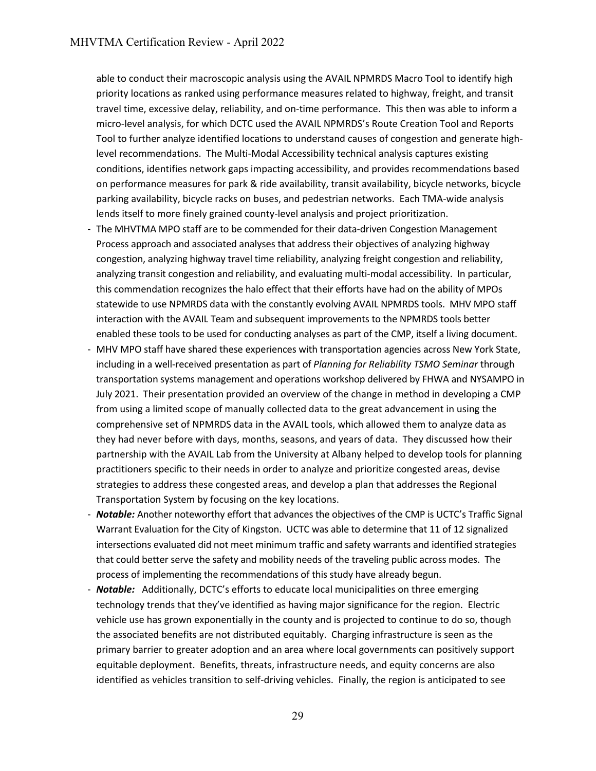able to conduct their macroscopic analysis using the AVAIL NPMRDS Macro Tool to identify high priority locations as ranked using performance measures related to highway, freight, and transit travel time, excessive delay, reliability, and on-time performance. This then was able to inform a micro-level analysis, for which DCTC used the AVAIL NPMRDS's Route Creation Tool and Reports Tool to further analyze identified locations to understand causes of congestion and generate highlevel recommendations. The Multi-Modal Accessibility technical analysis captures existing conditions, identifies network gaps impacting accessibility, and provides recommendations based on performance measures for park & ride availability, transit availability, bicycle networks, bicycle parking availability, bicycle racks on buses, and pedestrian networks. Each TMA-wide analysis lends itself to more finely grained county-level analysis and project prioritization.

- The MHVTMA MPO staff are to be commended for their data-driven Congestion Management Process approach and associated analyses that address their objectives of analyzing highway congestion, analyzing highway travel time reliability, analyzing freight congestion and reliability, analyzing transit congestion and reliability, and evaluating multi-modal accessibility. In particular, this commendation recognizes the halo effect that their efforts have had on the ability of MPOs statewide to use NPMRDS data with the constantly evolving AVAIL NPMRDS tools. MHV MPO staff interaction with the AVAIL Team and subsequent improvements to the NPMRDS tools better enabled these tools to be used for conducting analyses as part of the CMP, itself a living document.
- MHV MPO staff have shared these experiences with transportation agencies across New York State, including in a well-received presentation as part of *Planning for Reliability TSMO Seminar* through transportation systems management and operations workshop delivered by FHWA and NYSAMPO in July 2021. Their presentation provided an overview of the change in method in developing a CMP from using a limited scope of manually collected data to the great advancement in using the comprehensive set of NPMRDS data in the AVAIL tools, which allowed them to analyze data as they had never before with days, months, seasons, and years of data. They discussed how their partnership with the AVAIL Lab from the University at Albany helped to develop tools for planning practitioners specific to their needs in order to analyze and prioritize congested areas, devise strategies to address these congested areas, and develop a plan that addresses the Regional Transportation System by focusing on the key locations.
- *Notable:* Another noteworthy effort that advances the objectives of the CMP is UCTC's Traffic Signal Warrant Evaluation for the City of Kingston. UCTC was able to determine that 11 of 12 signalized intersections evaluated did not meet minimum traffic and safety warrants and identified strategies that could better serve the safety and mobility needs of the traveling public across modes. The process of implementing the recommendations of this study have already begun.
- *Notable:* Additionally, DCTC's efforts to educate local municipalities on three emerging technology trends that they've identified as having major significance for the region. Electric vehicle use has grown exponentially in the county and is projected to continue to do so, though the associated benefits are not distributed equitably. Charging infrastructure is seen as the primary barrier to greater adoption and an area where local governments can positively support equitable deployment. Benefits, threats, infrastructure needs, and equity concerns are also identified as vehicles transition to self-driving vehicles. Finally, the region is anticipated to see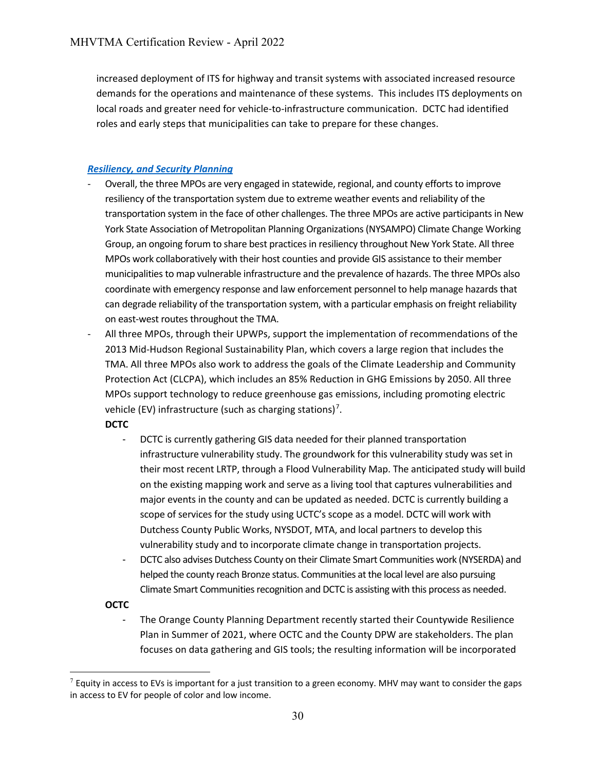increased deployment of ITS for highway and transit systems with associated increased resource demands for the operations and maintenance of these systems. This includes ITS deployments on local roads and greater need for vehicle-to-infrastructure communication. DCTC had identified roles and early steps that municipalities can take to prepare for these changes.

# *[Resiliency, and Security Planning](#page-39-0)*

- Overall, the three MPOs are very engaged in statewide, regional, and county efforts to improve resiliency of the transportation system due to extreme weather events and reliability of the transportation system in the face of other challenges. The three MPOs are active participants in New York State Association of Metropolitan Planning Organizations (NYSAMPO) Climate Change Working Group, an ongoing forum to share best practices in resiliency throughout New York State. All three MPOs work collaboratively with their host counties and provide GIS assistance to their member municipalities to map vulnerable infrastructure and the prevalence of hazards. The three MPOs also coordinate with emergency response and law enforcement personnel to help manage hazards that can degrade reliability of the transportation system, with a particular emphasis on freight reliability on east-west routes throughout the TMA.
- All three MPOs, through their UPWPs, support the implementation of recommendations of the 2013 Mid-Hudson Regional Sustainability Plan, which covers a large region that includes the TMA. All three MPOs also work to address the goals of the Climate Leadership and Community Protection Act (CLCPA), which includes an 85% Reduction in GHG Emissions by 2050. All three MPOs support technology to reduce greenhouse gas emissions, including promoting electric vehicle (EV) infrastructure (such as charging stations)<sup>[7](#page-32-0)</sup>.

**DCTC**

- DCTC is currently gathering GIS data needed for their planned transportation infrastructure vulnerability study. The groundwork for this vulnerability study was set in their most recent LRTP, through a Flood Vulnerability Map. The anticipated study will build on the existing mapping work and serve as a living tool that captures vulnerabilities and major events in the county and can be updated as needed. DCTC is currently building a scope of services for the study using UCTC's scope as a model. DCTC will work with Dutchess County Public Works, NYSDOT, MTA, and local partners to develop this vulnerability study and to incorporate climate change in transportation projects.
- DCTC also advises Dutchess County on their Climate Smart Communities work (NYSERDA) and helped the county reach Bronze status. Communities at the local level are also pursuing Climate Smart Communities recognition and DCTC is assisting with this process as needed.

# **OCTC**

The Orange County Planning Department recently started their Countywide Resilience Plan in Summer of 2021, where OCTC and the County DPW are stakeholders. The plan focuses on data gathering and GIS tools; the resulting information will be incorporated

<span id="page-32-0"></span> $7$  Equity in access to EVs is important for a just transition to a green economy. MHV may want to consider the gaps in access to EV for people of color and low income.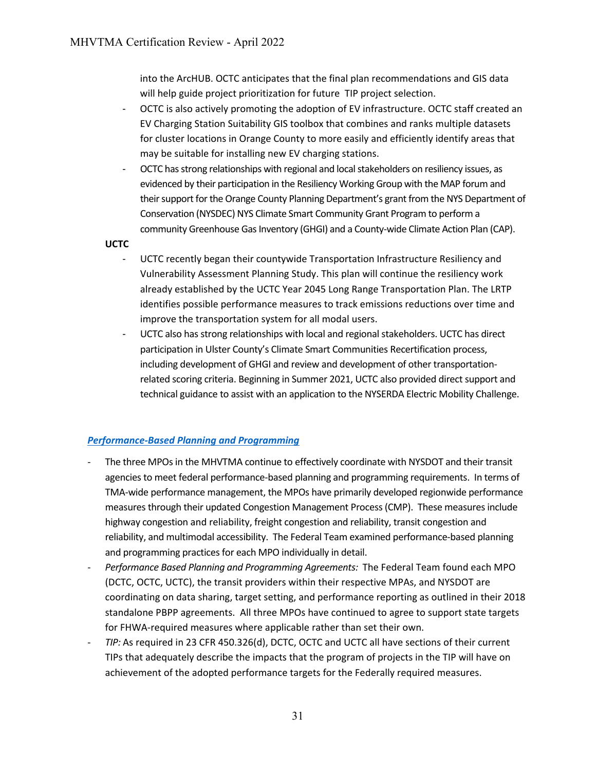into the ArcHUB. OCTC anticipates that the final plan recommendations and GIS data will help guide project prioritization for future TIP project selection.

- OCTC is also actively promoting the adoption of EV infrastructure. OCTC staff created an EV Charging Station Suitability GIS toolbox that combines and ranks multiple datasets for cluster locations in Orange County to more easily and efficiently identify areas that may be suitable for installing new EV charging stations.
- OCTC has strong relationships with regional and local stakeholders on resiliency issues, as evidenced by their participation in the Resiliency Working Group with the MAP forum and their support for the Orange County Planning Department's grant from the NYS Department of Conservation (NYSDEC) NYS Climate Smart Community Grant Program to perform a community Greenhouse Gas Inventory (GHGI) and a County-wide Climate Action Plan (CAP).

**UCTC**

- UCTC recently began their countywide Transportation Infrastructure Resiliency and Vulnerability Assessment Planning Study. This plan will continue the resiliency work already established by th[e UCTC Year 2045 Long Range Transportation Plan.](https://ulstercountyny.gov/transportation-council/long-range-transportation-plan) The LRTP identifies possible performance measures to track emissions reductions over time and improve the transportation system for all modal users.
- UCTC also has strong relationships with local and regional stakeholders. UCTC has direct participation in Ulster County's Climate Smart Communities Recertification process, including development of GHGI and review and development of other transportationrelated scoring criteria. Beginning in Summer 2021, UCTC also provided direct support and technical guidance to assist with an application to the NYSERDA Electric Mobility Challenge.

#### *[Performance-Based Planning](#page-40-0) and Programming*

- The three MPOs in the MHVTMA continue to effectively coordinate with NYSDOT and their transit agencies to meet federal performance-based planning and programming requirements. In terms of TMA-wide performance management, the MPOs have primarily developed regionwide performance measures through their updated Congestion Management Process(CMP). These measures include highway congestion and reliability, freight congestion and reliability, transit congestion and reliability, and multimodal accessibility. The Federal Team examined performance-based planning and programming practices for each MPO individually in detail.
- *Performance Based Planning and Programming Agreements:* The Federal Team found each MPO (DCTC, OCTC, UCTC), the transit providers within their respective MPAs, and NYSDOT are coordinating on data sharing, target setting, and performance reporting as outlined in their 2018 standalone PBPP agreements. All three MPOs have continued to agree to support state targets for FHWA-required measures where applicable rather than set their own.
- *TIP:* As required in 23 CFR 450.326(d), DCTC, OCTC and UCTC all have sections of their current TIPs that adequately describe the impacts that the program of projects in the TIP will have on achievement of the adopted performance targets for the Federally required measures.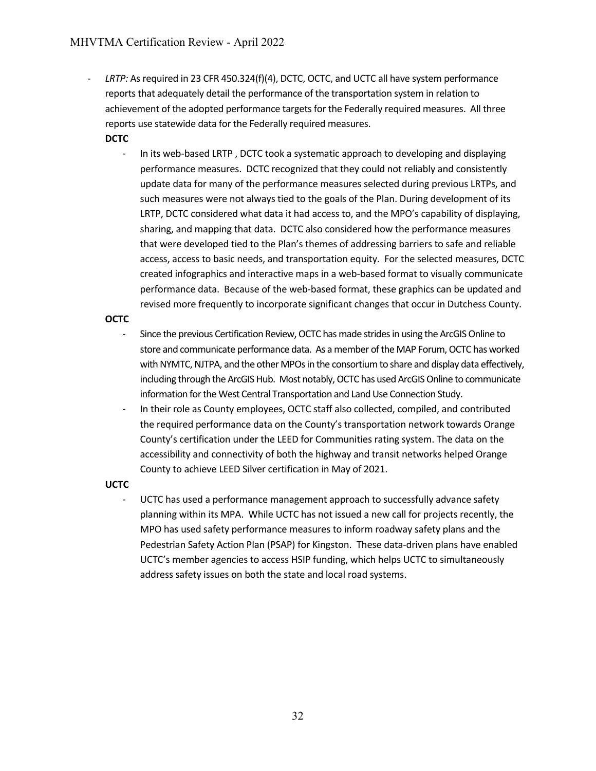- *LRTP:* As required in 23 CFR 450.324(f)(4), DCTC, OCTC, and UCTC all have system performance reports that adequately detail the performance of the transportation system in relation to achievement of the adopted performance targets for the Federally required measures. All three reports use statewide data for the Federally required measures.

# **DCTC**

- In its web-based LRTP , DCTC took a systematic approach to developing and displaying performance measures. DCTC recognized that they could not reliably and consistently update data for many of the performance measures selected during previous LRTPs, and such measures were not always tied to the goals of the Plan. During development of its LRTP, DCTC considered what data it had access to, and the MPO's capability of displaying, sharing, and mapping that data. DCTC also considered how the performance measures that were developed tied to the Plan's themes of addressing barriers to safe and reliable access, access to basic needs, and transportation equity. For the selected measures, DCTC created infographics and interactive maps in a web-based format to visually communicate performance data. Because of the web-based format, these graphics can be updated and revised more frequently to incorporate significant changes that occur in Dutchess County.

# **OCTC**

- Since the previous Certification Review, OCTC has made strides in using the ArcGIS Online to store and communicate performance data. As a member of the MAP Forum, OCTC has worked with NYMTC, NJTPA, and the other MPOs in the consortium to share and display data effectively, including through the ArcGIS Hub. Most notably, OCTC has used ArcGIS Online to communicate information for the West Central Transportation and Land Use Connection Study.
- In their role as County employees, OCTC staff also collected, compiled, and contributed the required performance data on the County's transportation network towards Orange County's certification under the LEED for Communities rating system. The data on the accessibility and connectivity of both the highway and transit networks helped Orange County to achieve LEED Silver certification in May of 2021.

# **UCTC**

- UCTC has used a performance management approach to successfully advance safety planning within its MPA. While UCTC has not issued a new call for projects recently, the MPO has used safety performance measures to inform roadway safety plans and the Pedestrian Safety Action Plan (PSAP) for Kingston. These data-driven plans have enabled UCTC's member agencies to access HSIP funding, which helps UCTC to simultaneously address safety issues on both the state and local road systems.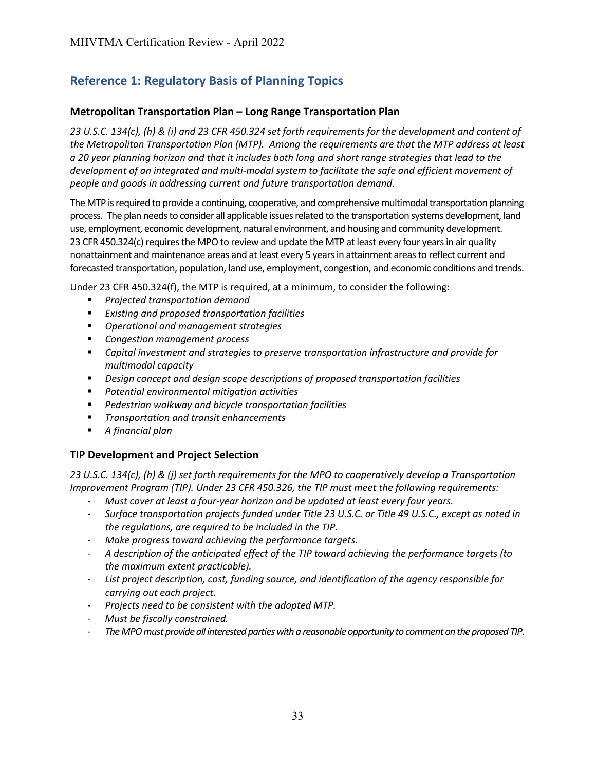# <span id="page-35-0"></span>**Metropolitan Transportation Plan – Long Range Transportation Plan**

*23 U.S.C. 134(c), (h) & (i) and 23 CFR 450.324 set forth requirements for the development and content of the Metropolitan Transportation Plan (MTP). Among the requirements are that the MTP address at least a 20 year planning horizon and that it includes both long and short range strategies that lead to the development of an integrated and multi-modal system to facilitate the safe and efficient movement of people and goods in addressing current and future transportation demand.*

The MTP is required to provide a continuing, cooperative, and comprehensive multimodal transportation planning process. The plan needs to consider all applicable issues related to the transportation systems development, land use, employment, economic development, natural environment, and housing and community development. 23 CFR 450.324(c) requires the MPO to review and update the MTP at least every four years in air quality nonattainment and maintenance areas and at least every 5 years in attainment areas to reflect current and forecasted transportation, population, land use, employment, congestion, and economic conditions and trends.

Under 23 CFR 450.324(f), the MTP is required, at a minimum, to consider the following:

- *Projected transportation demand*
- *Existing and proposed transportation facilities*
- *Operational and management strategies*
- *Congestion management process*
- *Capital investment and strategies to preserve transportation infrastructure and provide for multimodal capacity*
- *Design concept and design scope descriptions of proposed transportation facilities*
- *Potential environmental mitigation activities*
- *Pedestrian walkway and bicycle transportation facilities*
- *Transportation and transit enhancements*
- *A financial plan*

# <span id="page-35-1"></span>**TIP Development and Project Selection**

*23 U.S.C. 134(c), (h) & (j) set forth requirements for the MPO to cooperatively develop a Transportation Improvement Program (TIP). Under 23 CFR 450.326, the TIP must meet the following requirements:*

- *Must cover at least a four-year horizon and be updated at least every four years.*
- *Surface transportation projects funded under Title 23 U.S.C. or Title 49 U.S.C., except as noted in the regulations, are required to be included in the TIP.*
- *Make progress toward achieving the performance targets.*
- *A description of the anticipated effect of the TIP toward achieving the performance targets (to the maximum extent practicable).*
- *List project description, cost, funding source, and identification of the agency responsible for carrying out each project.*
- *Projects need to be consistent with the adopted MTP.*
- *Must be fiscally constrained.*
- *The MPO must provide all interested parties with a reasonable opportunity to comment on the proposed TIP.*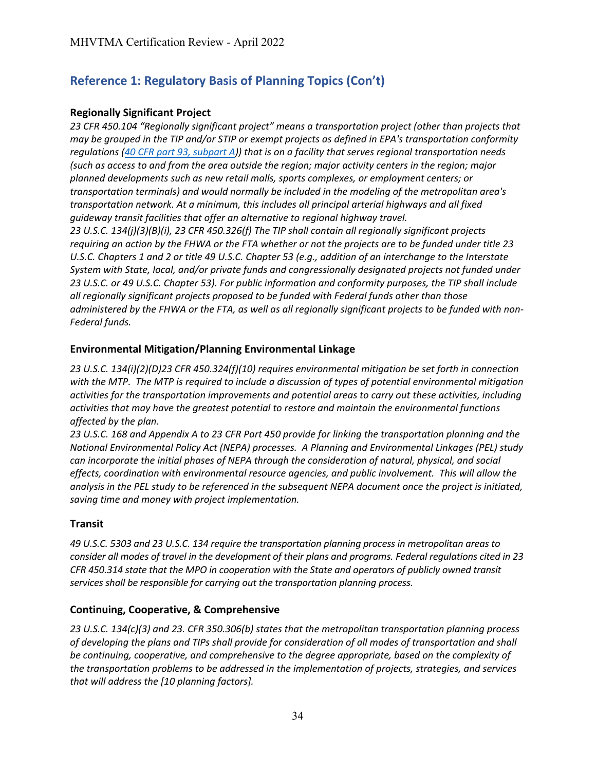# <span id="page-36-2"></span>**Regionally Significant Project**

*23 CFR 450.104 "Regionally significant project" means a transportation project (other than projects that may be grouped in the TIP and/or STIP or exempt projects as defined in EPA's transportation conformity regulations (40 CFR part [93, subpart A\)](https://www.ecfr.gov/current/title-40/part-93/subpart-A)) that is on a facility that serves regional transportation needs (such as access to and from the area outside the region; major activity centers in the region; major planned developments such as new retail malls, sports complexes, or employment centers; or transportation terminals) and would normally be included in the modeling of the metropolitan area's transportation network. At a minimum, this includes all principal arterial highways and all fixed guideway transit facilities that offer an alternative to regional highway travel. 23 U.S.C. 134(j)(3)(B)(i), 23 CFR 450.326(f) The TIP shall contain all regionally significant projects requiring an action by the FHWA or the FTA whether or not the projects are to be funded under title 23 U.S.C. Chapters 1 and 2 or title 49 U.S.C. Chapter 53 (e.g., addition of an interchange to the Interstate System with State, local, and/or private funds and congressionally designated projects not funded under* 

*23 U.S.C. or 49 U.S.C. Chapter 53). For public information and conformity purposes, the TIP shall include all regionally significant projects proposed to be funded with Federal funds other than those administered by the FHWA or the FTA, as well as all regionally significant projects to be funded with non-Federal funds.*

# <span id="page-36-3"></span>**Environmental Mitigation/Planning Environmental Linkage**

*23 U.S.C. 134(i)(2)(D)23 CFR 450.324(f)(10) requires environmental mitigation be set forth in connection with the MTP. The MTP is required to include a discussion of types of potential environmental mitigation activities for the transportation improvements and potential areas to carry out these activities, including activities that may have the greatest potential to restore and maintain the environmental functions affected by the plan.*

*23 U.S.C. 168 and Appendix A to 23 CFR Part 450 provide for linking the transportation planning and the National Environmental Policy Act (NEPA) processes. A Planning and Environmental Linkages (PEL) study can incorporate the initial phases of NEPA through the consideration of natural, physical, and social effects, coordination with environmental resource agencies, and public involvement. This will allow the analysis in the PEL study to be referenced in the subsequent NEPA document once the project is initiated, saving time and money with project implementation.*

# <span id="page-36-0"></span>**Transit**

*49 U.S.C. 5303 and 23 U.S.C. 134 require the transportation planning process in metropolitan areas to consider all modes of travel in the development of their plans and programs. Federal regulations cited in 23 CFR 450.314 state that the MPO in cooperation with the State and operators of publicly owned transit services shall be responsible for carrying out the transportation planning process.*

# <span id="page-36-1"></span>**Continuing, Cooperative, & Comprehensive**

*23 U.S.C. 134(c)(3) and 23. CFR 350.306(b) states that the metropolitan transportation planning process of developing the plans and TIPs shall provide for consideration of all modes of transportation and shall be continuing, cooperative, and comprehensive to the degree appropriate, based on the complexity of the transportation problems to be addressed in the implementation of projects, strategies, and services that will address the [10 planning factors].*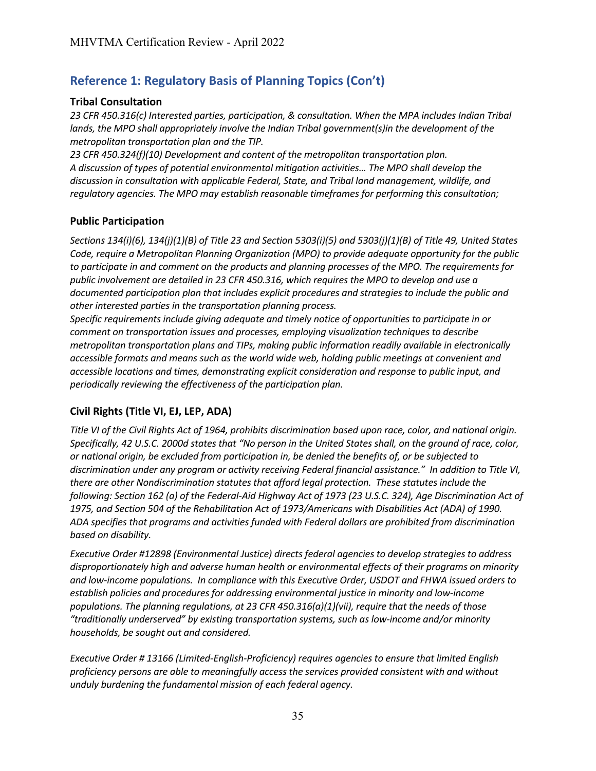# <span id="page-37-1"></span>**Tribal Consultation**

*23 CFR 450.316(c) Interested parties, participation, & consultation. When the MPA includes Indian Tribal lands, the MPO shall appropriately involve the Indian Tribal government(s)in the development of the metropolitan transportation plan and the TIP.* 

*23 CFR 450.324(f)(10) Development and content of the metropolitan transportation plan. A discussion of types of potential environmental mitigation activities… The MPO shall develop the discussion in consultation with applicable Federal, State, and Tribal land management, wildlife, and regulatory agencies. The MPO may establish reasonable timeframes for performing this consultation;*

# <span id="page-37-2"></span>**Public Participation**

*Sections 134(i)(6), 134(j)(1)(B) of Title 23 and Section 5303(i)(5) and 5303(j)(1)(B) of Title 49, United States Code, require a Metropolitan Planning Organization (MPO) to provide adequate opportunity for the public to participate in and comment on the products and planning processes of the MPO. The requirements for public involvement are detailed in 23 CFR 450.316, which requires the MPO to develop and use a documented participation plan that includes explicit procedures and strategies to include the public and other interested parties in the transportation planning process.* 

*Specific requirements include giving adequate and timely notice of opportunities to participate in or comment on transportation issues and processes, employing visualization techniques to describe metropolitan transportation plans and TIPs, making public information readily available in electronically accessible formats and means such as the world wide web, holding public meetings at convenient and accessible locations and times, demonstrating explicit consideration and response to public input, and periodically reviewing the effectiveness of the participation plan.*

# <span id="page-37-0"></span>**Civil Rights (Title VI, EJ, LEP, ADA)**

*Title VI of the Civil Rights Act of 1964, prohibits discrimination based upon race, color, and national origin. Specifically, 42 U.S.C. 2000d states that "No person in the United States shall, on the ground of race, color, or national origin, be excluded from participation in, be denied the benefits of, or be subjected to discrimination under any program or activity receiving Federal financial assistance." In addition to Title VI, there are other Nondiscrimination statutes that afford legal protection. These statutes include the following: Section 162 (a) of the Federal-Aid Highway Act of 1973 (23 U.S.C. 324), Age Discrimination Act of 1975, and Section 504 of the Rehabilitation Act of 1973/Americans with Disabilities Act (ADA) of 1990. ADA specifies that programs and activities funded with Federal dollars are prohibited from discrimination based on disability.* 

*Executive Order #12898 (Environmental Justice) directs federal agencies to develop strategies to address disproportionately high and adverse human health or environmental effects of their programs on minority and low-income populations. In compliance with this Executive Order, USDOT and FHWA issued orders to establish policies and procedures for addressing environmental justice in minority and low-income populations. The planning regulations, at 23 CFR 450.316(a)(1)(vii), require that the needs of those "traditionally underserved" by existing transportation systems, such as low-income and/or minority households, be sought out and considered.*

*Executive Order # 13166 (Limited-English-Proficiency) requires agencies to ensure that limited English proficiency persons are able to meaningfully access the services provided consistent with and without unduly burdening the fundamental mission of each federal agency.*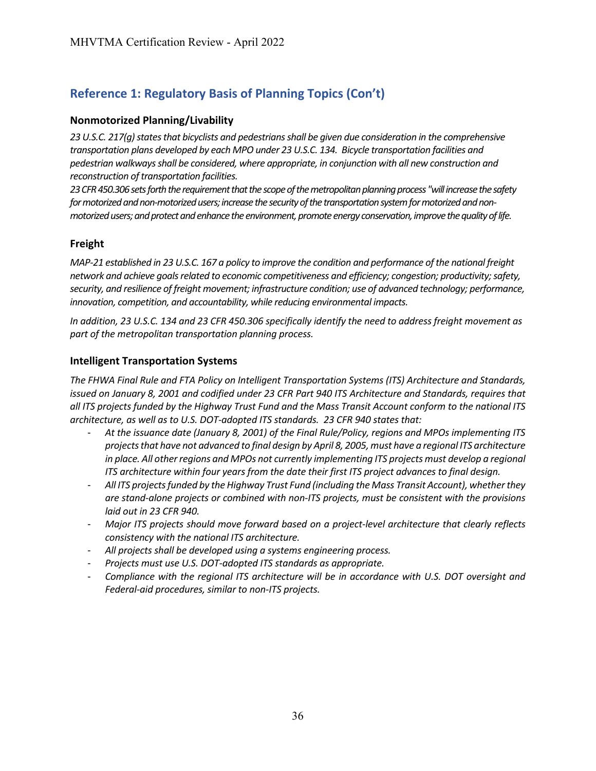# **Nonmotorized Planning/Livability**

*23 U.S.C. 217(g) states that bicyclists and pedestrians shall be given due consideration in the comprehensive transportation plans developed by each MPO under 23 U.S.C. 134. Bicycle transportation facilities and pedestrian walkways shall be considered, where appropriate, in conjunction with all new construction and reconstruction of transportation facilities.*

*23 CFR 450.306 sets forth the requirement that the scope of the metropolitan planning process "will increase the safety for motorized and non-motorized users; increase the security of the transportation system for motorized and nonmotorized users; and protect and enhance the environment, promote energy conservation, improve the quality of life.*

# <span id="page-38-0"></span>**Freight**

*MAP-21 established in 23 U.S.C. 167 a policy to improve the condition and performance of the national freight network and achieve goals related to economic competitiveness and efficiency; congestion; productivity; safety, security, and resilience of freight movement; infrastructure condition; use of advanced technology; performance, innovation, competition, and accountability, while reducing environmental impacts.* 

*In addition, 23 U.S.C. 134 and 23 CFR 450.306 specifically identify the need to address freight movement as part of the metropolitan transportation planning process.* 

# <span id="page-38-1"></span>**Intelligent Transportation Systems**

*The FHWA Final Rule and FTA Policy on Intelligent Transportation Systems (ITS) Architecture and Standards, issued on January 8, 2001 and codified under 23 CFR Part 940 ITS Architecture and Standards, requires that all ITS projects funded by the Highway Trust Fund and the Mass Transit Account conform to the national ITS architecture, as well as to U.S. DOT-adopted ITS standards. 23 CFR 940 states that:* 

- *At the issuance date (January 8, 2001) of the Final Rule/Policy, regions and MPOs implementing ITS projects that have not advanced to final design by April 8, 2005, must have a regional ITS architecture in place. All other regions and MPOs not currently implementing ITS projects must develop a regional ITS architecture within four years from the date their first ITS project advances to final design.*
- *All ITS projects funded by the Highway Trust Fund (including the Mass Transit Account), whether they are stand-alone projects or combined with non-ITS projects, must be consistent with the provisions laid out in 23 CFR 940.*
- *Major ITS projects should move forward based on a project-level architecture that clearly reflects consistency with the national ITS architecture.*
- *All projects shall be developed using a systems engineering process.*
- *Projects must use U.S. DOT-adopted ITS standards as appropriate.*
- *Compliance with the regional ITS architecture will be in accordance with U.S. DOT oversight and Federal-aid procedures, similar to non-ITS projects.*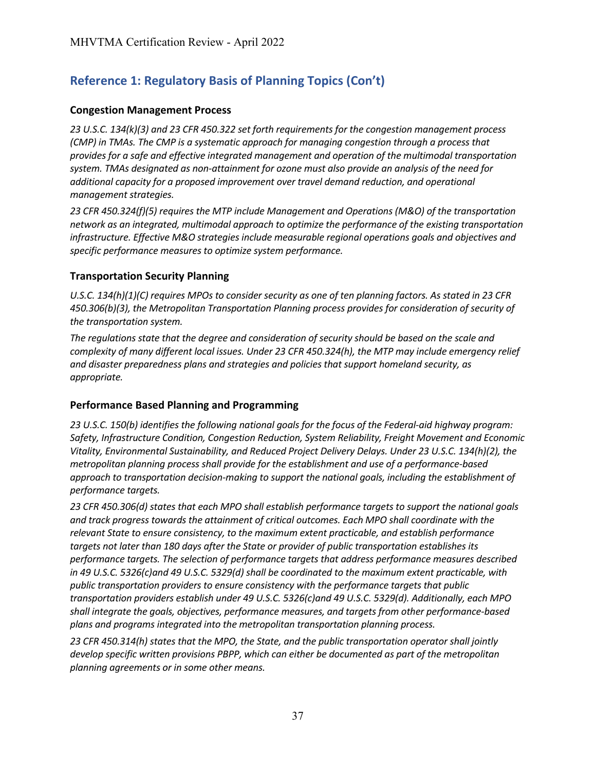# <span id="page-39-1"></span>**Congestion Management Process**

*23 U.S.C. 134(k)(3) and 23 CFR 450.322 set forth requirements for the congestion management process (CMP) in TMAs. The CMP is a systematic approach for managing congestion through a process that provides for a safe and effective integrated management and operation of the multimodal transportation system. TMAs designated as non-attainment for ozone must also provide an analysis of the need for additional capacity for a proposed improvement over travel demand reduction, and operational management strategies.*

*23 CFR 450.324(f)(5) requires the MTP include Management and Operations (M&O) of the transportation network as an integrated, multimodal approach to optimize the performance of the existing transportation infrastructure. Effective M&O strategies include measurable regional operations goals and objectives and specific performance measures to optimize system performance.*

# <span id="page-39-0"></span>**Transportation Security Planning**

*U.S.C. 134(h)(1)(C) requires MPOs to consider security as one of ten planning factors. As stated in 23 CFR 450.306(b)(3), the Metropolitan Transportation Planning process provides for consideration of security of the transportation system.*

*The regulations state that the degree and consideration of security should be based on the scale and complexity of many different local issues. Under 23 CFR 450.324(h), the MTP may include emergency relief and disaster preparedness plans and strategies and policies that support homeland security, as appropriate.*

# **Performance Based Planning and Programming**

*23 U.S.C. 150(b) identifies the following national goals for the focus of the Federal-aid highway program: Safety, Infrastructure Condition, Congestion Reduction, System Reliability, Freight Movement and Economic Vitality, Environmental Sustainability, and Reduced Project Delivery Delays. Under 23 U.S.C. 134(h)(2), the metropolitan planning process shall provide for the establishment and use of a performance-based approach to transportation decision-making to support the national goals, including the establishment of performance targets.*

*23 CFR 450.306(d) states that each MPO shall establish performance targets to support the national goals and track progress towards the attainment of critical outcomes. Each MPO shall coordinate with the relevant State to ensure consistency, to the maximum extent practicable, and establish performance targets not later than 180 days after the State or provider of public transportation establishes its performance targets. The selection of performance targets that address performance measures described in 49 U.S.C. 5326(c)and 49 U.S.C. 5329(d) shall be coordinated to the maximum extent practicable, with public transportation providers to ensure consistency with the performance targets that public transportation providers establish under 49 U.S.C. 5326(c)and 49 U.S.C. 5329(d). Additionally, each MPO shall integrate the goals, objectives, performance measures, and targets from other performance-based plans and programs integrated into the metropolitan transportation planning process.*

*23 CFR 450.314(h) states that the MPO, the State, and the public transportation operator shall jointly develop specific written provisions PBPP, which can either be documented as part of the metropolitan planning agreements or in some other means.*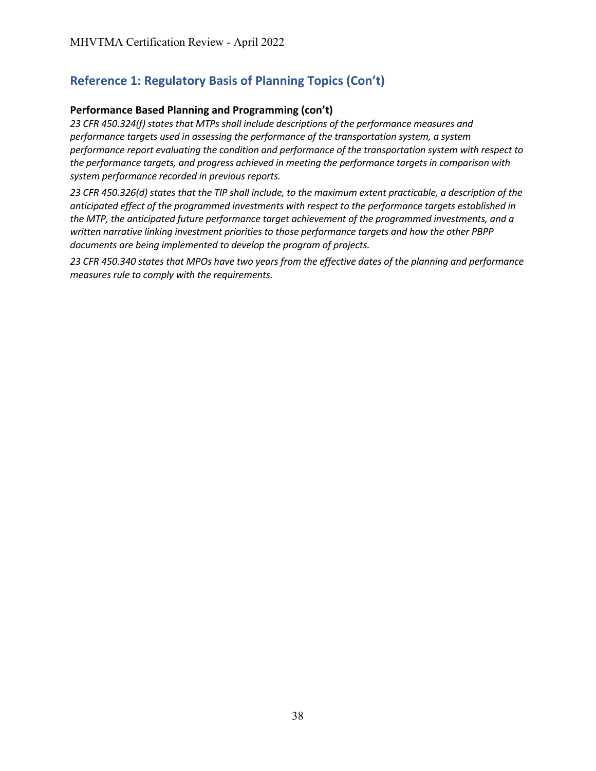# <span id="page-40-0"></span>**Performance Based Planning and Programming (con't)**

*23 CFR 450.324(f) states that MTPs shall include descriptions of the performance measures and performance targets used in assessing the performance of the transportation system, a system performance report evaluating the condition and performance of the transportation system with respect to the performance targets, and progress achieved in meeting the performance targets in comparison with system performance recorded in previous reports.*

*23 CFR 450.326(d) states that the TIP shall include, to the maximum extent practicable, a description of the anticipated effect of the programmed investments with respect to the performance targets established in the MTP, the anticipated future performance target achievement of the programmed investments, and a written narrative linking investment priorities to those performance targets and how the other PBPP documents are being implemented to develop the program of projects.*

*23 CFR 450.340 states that MPOs have two years from the effective dates of the planning and performance measures rule to comply with the requirements.*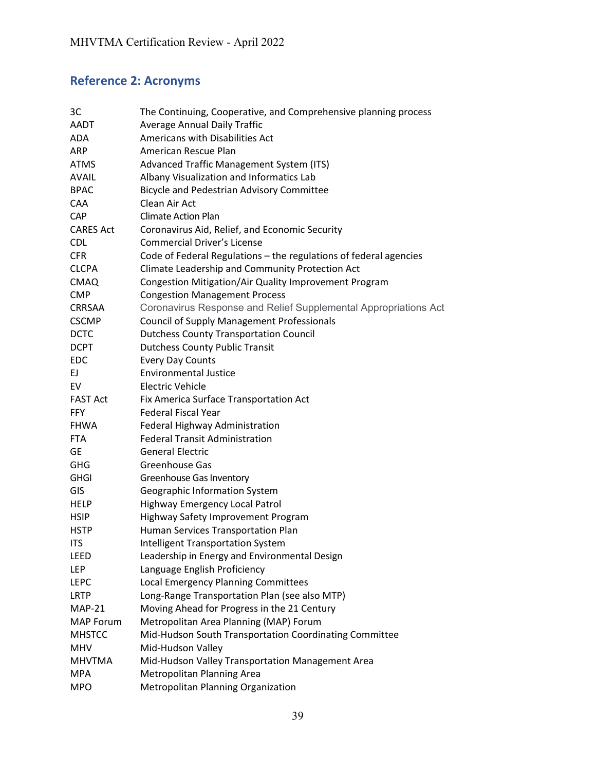# **Reference 2: Acronyms**

| 3C               | The Continuing, Cooperative, and Comprehensive planning process   |
|------------------|-------------------------------------------------------------------|
| AADT             | <b>Average Annual Daily Traffic</b>                               |
| <b>ADA</b>       | Americans with Disabilities Act                                   |
| <b>ARP</b>       | American Rescue Plan                                              |
| <b>ATMS</b>      | Advanced Traffic Management System (ITS)                          |
| <b>AVAIL</b>     | Albany Visualization and Informatics Lab                          |
| <b>BPAC</b>      | Bicycle and Pedestrian Advisory Committee                         |
| <b>CAA</b>       | Clean Air Act                                                     |
| <b>CAP</b>       | <b>Climate Action Plan</b>                                        |
| <b>CARES Act</b> | Coronavirus Aid, Relief, and Economic Security                    |
| <b>CDL</b>       | <b>Commercial Driver's License</b>                                |
| <b>CFR</b>       | Code of Federal Regulations - the regulations of federal agencies |
| <b>CLCPA</b>     | Climate Leadership and Community Protection Act                   |
| <b>CMAQ</b>      | Congestion Mitigation/Air Quality Improvement Program             |
| <b>CMP</b>       | <b>Congestion Management Process</b>                              |
| CRRSAA           | Coronavirus Response and Relief Supplemental Appropriations Act   |
| <b>CSCMP</b>     | <b>Council of Supply Management Professionals</b>                 |
| <b>DCTC</b>      | <b>Dutchess County Transportation Council</b>                     |
| <b>DCPT</b>      | <b>Dutchess County Public Transit</b>                             |
| <b>EDC</b>       | <b>Every Day Counts</b>                                           |
| EJ.              | <b>Environmental Justice</b>                                      |
| EV               | <b>Electric Vehicle</b>                                           |
| <b>FAST Act</b>  | Fix America Surface Transportation Act                            |
| <b>FFY</b>       | <b>Federal Fiscal Year</b>                                        |
| <b>FHWA</b>      | Federal Highway Administration                                    |
| <b>FTA</b>       | <b>Federal Transit Administration</b>                             |
| <b>GE</b>        | <b>General Electric</b>                                           |
| <b>GHG</b>       | <b>Greenhouse Gas</b>                                             |
| <b>GHGI</b>      | Greenhouse Gas Inventory                                          |
| GIS              | Geographic Information System                                     |
| <b>HELP</b>      | Highway Emergency Local Patrol                                    |
| <b>HSIP</b>      | Highway Safety Improvement Program                                |
| <b>HSTP</b>      | Human Services Transportation Plan                                |
| <b>ITS</b>       | <b>Intelligent Transportation System</b>                          |
| LEED             | Leadership in Energy and Environmental Design                     |
| LEP              | Language English Proficiency                                      |
| <b>LEPC</b>      | Local Emergency Planning Committees                               |
| <b>LRTP</b>      | Long-Range Transportation Plan (see also MTP)                     |
| $MAP-21$         | Moving Ahead for Progress in the 21 Century                       |
| <b>MAP Forum</b> | Metropolitan Area Planning (MAP) Forum                            |
| <b>MHSTCC</b>    | Mid-Hudson South Transportation Coordinating Committee            |
| <b>MHV</b>       | Mid-Hudson Valley                                                 |
| <b>MHVTMA</b>    | Mid-Hudson Valley Transportation Management Area                  |
| <b>MPA</b>       | Metropolitan Planning Area                                        |
| <b>MPO</b>       | Metropolitan Planning Organization                                |